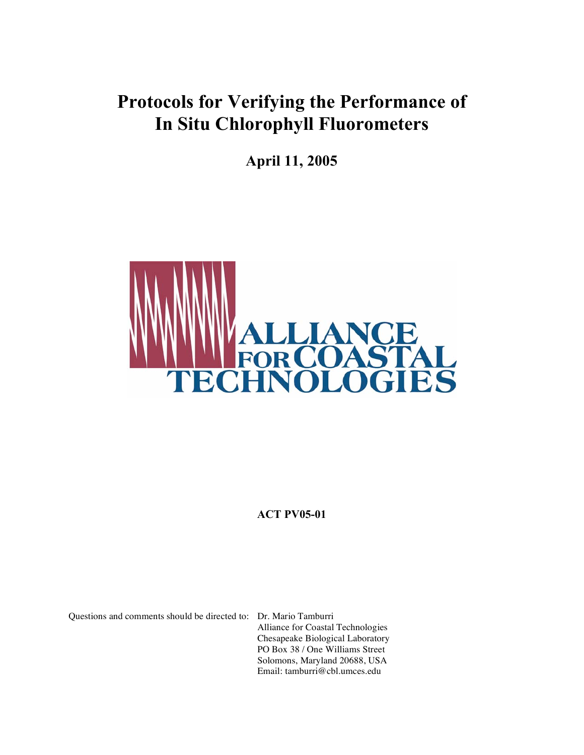**April 11, 2005**



**ACT PV05-01**

Questions and comments should be directed to: Dr. Mario Tamburri

Alliance for Coastal Technologies Chesapeake Biological Laboratory PO Box 38 / One Williams Street Solomons, Maryland 20688, USA Email: tamburri@cbl.umces.edu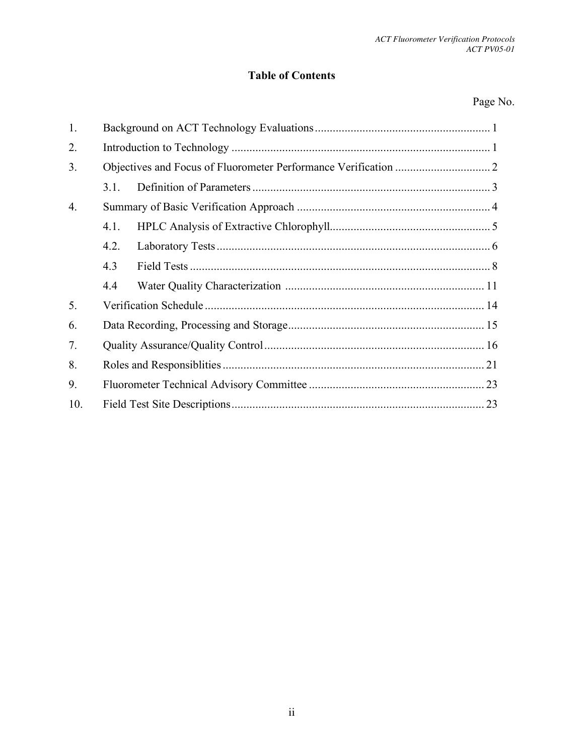## **Table of Contents**

## Page No.

| 1.  |      |  |  |  |  |
|-----|------|--|--|--|--|
| 2.  |      |  |  |  |  |
| 3.  |      |  |  |  |  |
|     | 3.1. |  |  |  |  |
| 4.  |      |  |  |  |  |
|     | 4.1. |  |  |  |  |
|     | 4.2. |  |  |  |  |
|     | 4.3  |  |  |  |  |
|     | 4.4  |  |  |  |  |
| 5.  |      |  |  |  |  |
| 6.  |      |  |  |  |  |
| 7.  |      |  |  |  |  |
| 8.  |      |  |  |  |  |
| 9.  |      |  |  |  |  |
| 10. |      |  |  |  |  |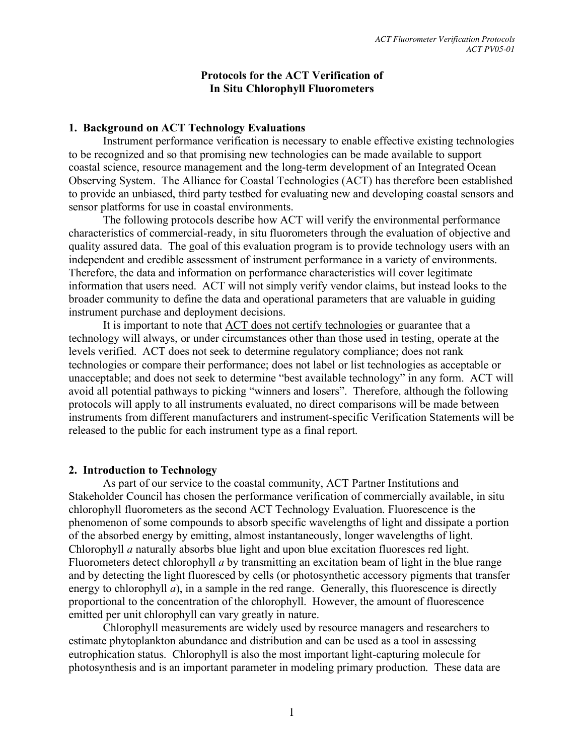#### **Protocols for the ACT Verification of In Situ Chlorophyll Fluorometers**

#### **1. Background on ACT Technology Evaluations**

Instrument performance verification is necessary to enable effective existing technologies to be recognized and so that promising new technologies can be made available to support coastal science, resource management and the long-term development of an Integrated Ocean Observing System. The Alliance for Coastal Technologies (ACT) has therefore been established to provide an unbiased, third party testbed for evaluating new and developing coastal sensors and sensor platforms for use in coastal environments.

The following protocols describe how ACT will verify the environmental performance characteristics of commercial-ready, in situ fluorometers through the evaluation of objective and quality assured data. The goal of this evaluation program is to provide technology users with an independent and credible assessment of instrument performance in a variety of environments. Therefore, the data and information on performance characteristics will cover legitimate information that users need. ACT will not simply verify vendor claims, but instead looks to the broader community to define the data and operational parameters that are valuable in guiding instrument purchase and deployment decisions.

It is important to note that ACT does not certify technologies or guarantee that a technology will always, or under circumstances other than those used in testing, operate at the levels verified. ACT does not seek to determine regulatory compliance; does not rank technologies or compare their performance; does not label or list technologies as acceptable or unacceptable; and does not seek to determine "best available technology" in any form. ACT will avoid all potential pathways to picking "winners and losers". Therefore, although the following protocols will apply to all instruments evaluated, no direct comparisons will be made between instruments from different manufacturers and instrument-specific Verification Statements will be released to the public for each instrument type as a final report.

#### **2. Introduction to Technology**

As part of our service to the coastal community, ACT Partner Institutions and Stakeholder Council has chosen the performance verification of commercially available, in situ chlorophyll fluorometers as the second ACT Technology Evaluation. Fluorescence is the phenomenon of some compounds to absorb specific wavelengths of light and dissipate a portion of the absorbed energy by emitting, almost instantaneously, longer wavelengths of light. Chlorophyll *a* naturally absorbs blue light and upon blue excitation fluoresces red light. Fluorometers detect chlorophyll *a* by transmitting an excitation beam of light in the blue range and by detecting the light fluoresced by cells (or photosynthetic accessory pigments that transfer energy to chlorophyll *a*), in a sample in the red range. Generally, this fluorescence is directly proportional to the concentration of the chlorophyll. However, the amount of fluorescence emitted per unit chlorophyll can vary greatly in nature.

Chlorophyll measurements are widely used by resource managers and researchers to estimate phytoplankton abundance and distribution and can be used as a tool in assessing eutrophication status. Chlorophyll is also the most important light-capturing molecule for photosynthesis and is an important parameter in modeling primary production. These data are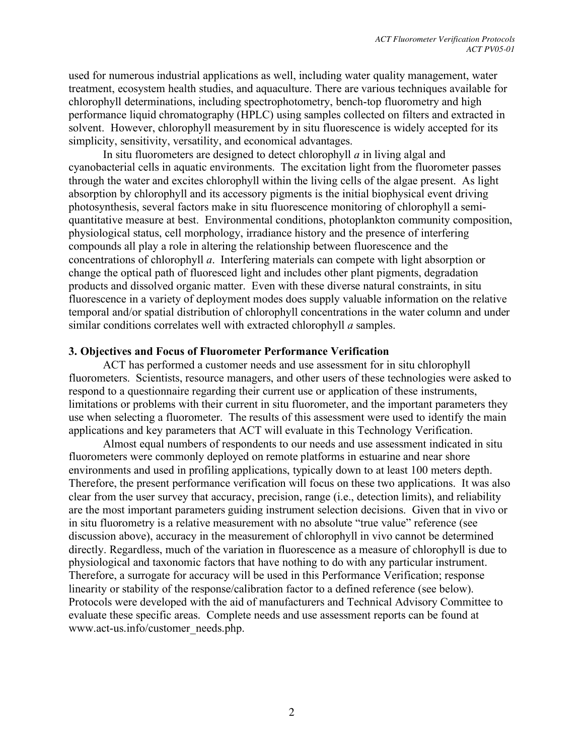used for numerous industrial applications as well, including water quality management, water treatment, ecosystem health studies, and aquaculture. There are various techniques available for chlorophyll determinations, including spectrophotometry, bench-top fluorometry and high performance liquid chromatography (HPLC) using samples collected on filters and extracted in solvent. However, chlorophyll measurement by in situ fluorescence is widely accepted for its simplicity, sensitivity, versatility, and economical advantages.

In situ fluorometers are designed to detect chlorophyll *a* in living algal and cyanobacterial cells in aquatic environments. The excitation light from the fluorometer passes through the water and excites chlorophyll within the living cells of the algae present. As light absorption by chlorophyll and its accessory pigments is the initial biophysical event driving photosynthesis, several factors make in situ fluorescence monitoring of chlorophyll a semiquantitative measure at best. Environmental conditions, photoplankton community composition, physiological status, cell morphology, irradiance history and the presence of interfering compounds all play a role in altering the relationship between fluorescence and the concentrations of chlorophyll *a*. Interfering materials can compete with light absorption or change the optical path of fluoresced light and includes other plant pigments, degradation products and dissolved organic matter. Even with these diverse natural constraints, in situ fluorescence in a variety of deployment modes does supply valuable information on the relative temporal and/or spatial distribution of chlorophyll concentrations in the water column and under similar conditions correlates well with extracted chlorophyll *a* samples.

#### **3. Objectives and Focus of Fluorometer Performance Verification**

ACT has performed a customer needs and use assessment for in situ chlorophyll fluorometers. Scientists, resource managers, and other users of these technologies were asked to respond to a questionnaire regarding their current use or application of these instruments, limitations or problems with their current in situ fluorometer, and the important parameters they use when selecting a fluorometer. The results of this assessment were used to identify the main applications and key parameters that ACT will evaluate in this Technology Verification.

Almost equal numbers of respondents to our needs and use assessment indicated in situ fluorometers were commonly deployed on remote platforms in estuarine and near shore environments and used in profiling applications, typically down to at least 100 meters depth. Therefore, the present performance verification will focus on these two applications. It was also clear from the user survey that accuracy, precision, range (i.e., detection limits), and reliability are the most important parameters guiding instrument selection decisions. Given that in vivo or in situ fluorometry is a relative measurement with no absolute "true value" reference (see discussion above), accuracy in the measurement of chlorophyll in vivo cannot be determined directly. Regardless, much of the variation in fluorescence as a measure of chlorophyll is due to physiological and taxonomic factors that have nothing to do with any particular instrument. Therefore, a surrogate for accuracy will be used in this Performance Verification; response linearity or stability of the response/calibration factor to a defined reference (see below). Protocols were developed with the aid of manufacturers and Technical Advisory Committee to evaluate these specific areas. Complete needs and use assessment reports can be found at www.act-us.info/customer\_needs.php.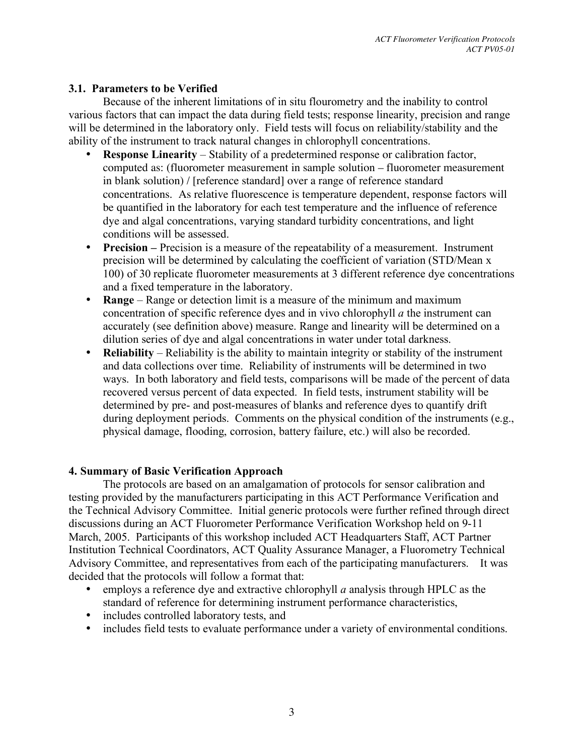#### **3.1. Parameters to be Verified**

Because of the inherent limitations of in situ flourometry and the inability to control various factors that can impact the data during field tests; response linearity, precision and range will be determined in the laboratory only. Field tests will focus on reliability/stability and the ability of the instrument to track natural changes in chlorophyll concentrations.

- **Response Linearity** Stability of a predetermined response or calibration factor, computed as: (fluorometer measurement in sample solution – fluorometer measurement in blank solution) / [reference standard] over a range of reference standard concentrations. As relative fluorescence is temperature dependent, response factors will be quantified in the laboratory for each test temperature and the influence of reference dye and algal concentrations, varying standard turbidity concentrations, and light conditions will be assessed.
- **Precision** Precision is a measure of the repeatability of a measurement. Instrument precision will be determined by calculating the coefficient of variation (STD/Mean x 100) of 30 replicate fluorometer measurements at 3 different reference dye concentrations and a fixed temperature in the laboratory.
- **Range** Range or detection limit is a measure of the minimum and maximum concentration of specific reference dyes and in vivo chlorophyll *a* the instrument can accurately (see definition above) measure. Range and linearity will be determined on a dilution series of dye and algal concentrations in water under total darkness.
- **Reliability** Reliability is the ability to maintain integrity or stability of the instrument and data collections over time. Reliability of instruments will be determined in two ways. In both laboratory and field tests, comparisons will be made of the percent of data recovered versus percent of data expected. In field tests, instrument stability will be determined by pre- and post-measures of blanks and reference dyes to quantify drift during deployment periods. Comments on the physical condition of the instruments (e.g., physical damage, flooding, corrosion, battery failure, etc.) will also be recorded.

#### **4. Summary of Basic Verification Approach**

The protocols are based on an amalgamation of protocols for sensor calibration and testing provided by the manufacturers participating in this ACT Performance Verification and the Technical Advisory Committee. Initial generic protocols were further refined through direct discussions during an ACT Fluorometer Performance Verification Workshop held on 9-11 March, 2005. Participants of this workshop included ACT Headquarters Staff, ACT Partner Institution Technical Coordinators, ACT Quality Assurance Manager, a Fluorometry Technical Advisory Committee, and representatives from each of the participating manufacturers. It was decided that the protocols will follow a format that:

- employs a reference dye and extractive chlorophyll *a* analysis through HPLC as the standard of reference for determining instrument performance characteristics,
- includes controlled laboratory tests, and
- includes field tests to evaluate performance under a variety of environmental conditions.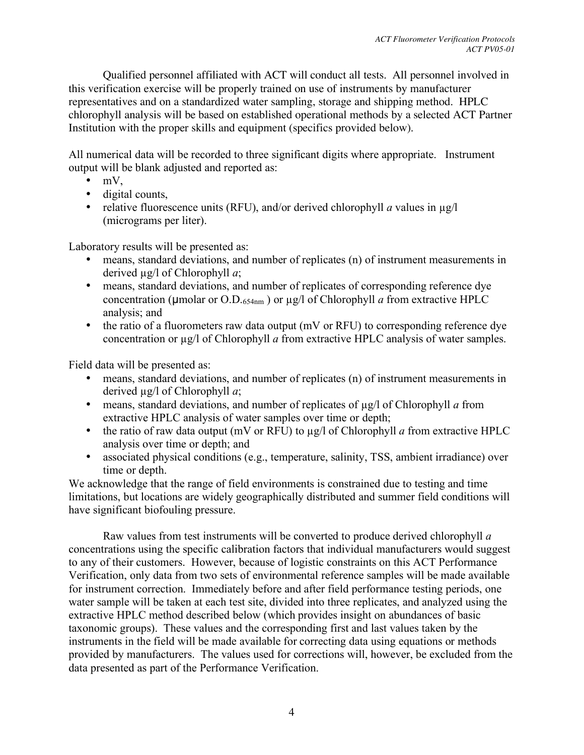Qualified personnel affiliated with ACT will conduct all tests. All personnel involved in this verification exercise will be properly trained on use of instruments by manufacturer representatives and on a standardized water sampling, storage and shipping method. HPLC chlorophyll analysis will be based on established operational methods by a selected ACT Partner Institution with the proper skills and equipment (specifics provided below).

All numerical data will be recorded to three significant digits where appropriate. Instrument output will be blank adjusted and reported as:

- $\bullet$  mV,
- digital counts,
- relative fluorescence units (RFU), and/or derived chlorophyll *a* values in  $\mu$ g/l (micrograms per liter).

Laboratory results will be presented as:

- means, standard deviations, and number of replicates (n) of instrument measurements in derived µg/l of Chlorophyll *a*;
- means, standard deviations, and number of replicates of corresponding reference dye concentration ( $\mu$ molar or O.D.<sub>654nm</sub>) or  $\mu$ g/l of Chlorophyll *a* from extractive HPLC analysis; and
- the ratio of a fluorometers raw data output (mV or RFU) to corresponding reference dye concentration or µg/l of Chlorophyll *a* from extractive HPLC analysis of water samples.

Field data will be presented as:

- means, standard deviations, and number of replicates (n) of instrument measurements in derived µg/l of Chlorophyll *a*;
- means, standard deviations, and number of replicates of  $\mu$ g/l of Chlorophyll *a* from extractive HPLC analysis of water samples over time or depth;
- the ratio of raw data output (mV or RFU) to  $\mu$ g/l of Chlorophyll *a* from extractive HPLC analysis over time or depth; and
- associated physical conditions (e.g., temperature, salinity, TSS, ambient irradiance) over time or depth.

We acknowledge that the range of field environments is constrained due to testing and time limitations, but locations are widely geographically distributed and summer field conditions will have significant biofouling pressure.

Raw values from test instruments will be converted to produce derived chlorophyll *a* concentrations using the specific calibration factors that individual manufacturers would suggest to any of their customers. However, because of logistic constraints on this ACT Performance Verification, only data from two sets of environmental reference samples will be made available for instrument correction. Immediately before and after field performance testing periods, one water sample will be taken at each test site, divided into three replicates, and analyzed using the extractive HPLC method described below (which provides insight on abundances of basic taxonomic groups). These values and the corresponding first and last values taken by the instruments in the field will be made available for correcting data using equations or methods provided by manufacturers. The values used for corrections will, however, be excluded from the data presented as part of the Performance Verification.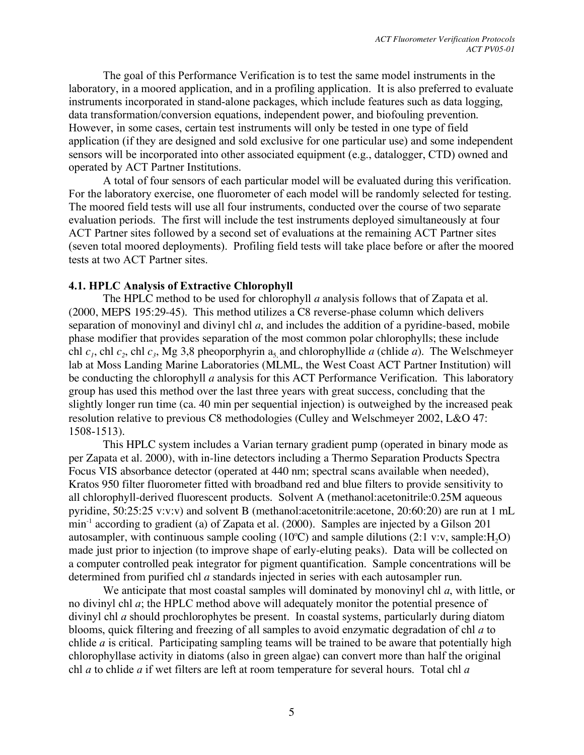The goal of this Performance Verification is to test the same model instruments in the laboratory, in a moored application, and in a profiling application. It is also preferred to evaluate instruments incorporated in stand-alone packages, which include features such as data logging, data transformation/conversion equations, independent power, and biofouling prevention. However, in some cases, certain test instruments will only be tested in one type of field application (if they are designed and sold exclusive for one particular use) and some independent sensors will be incorporated into other associated equipment (e.g., datalogger, CTD) owned and operated by ACT Partner Institutions.

A total of four sensors of each particular model will be evaluated during this verification. For the laboratory exercise, one fluorometer of each model will be randomly selected for testing. The moored field tests will use all four instruments, conducted over the course of two separate evaluation periods. The first will include the test instruments deployed simultaneously at four ACT Partner sites followed by a second set of evaluations at the remaining ACT Partner sites (seven total moored deployments). Profiling field tests will take place before or after the moored tests at two ACT Partner sites.

#### **4.1. HPLC Analysis of Extractive Chlorophyll**

The HPLC method to be used for chlorophyll *a* analysis follows that of Zapata et al. (2000, MEPS 195:29-45). This method utilizes a C8 reverse-phase column which delivers separation of monovinyl and divinyl chl *a*, and includes the addition of a pyridine-based, mobile phase modifier that provides separation of the most common polar chlorophylls; these include chl  $c_1$ , chl  $c_2$ , chl  $c_3$ , Mg 3,8 pheoporphyrin  $a_5$  and chlorophyllide *a* (chlide *a*). The Welschmeyer lab at Moss Landing Marine Laboratories (MLML, the West Coast ACT Partner Institution) will be conducting the chlorophyll *a* analysis for this ACT Performance Verification. This laboratory group has used this method over the last three years with great success, concluding that the slightly longer run time (ca. 40 min per sequential injection) is outweighed by the increased peak resolution relative to previous C8 methodologies (Culley and Welschmeyer 2002, L&O 47: 1508-1513).

This HPLC system includes a Varian ternary gradient pump (operated in binary mode as per Zapata et al. 2000), with in-line detectors including a Thermo Separation Products Spectra Focus VIS absorbance detector (operated at 440 nm; spectral scans available when needed), Kratos 950 filter fluorometer fitted with broadband red and blue filters to provide sensitivity to all chlorophyll-derived fluorescent products. Solvent A (methanol:acetonitrile:0.25M aqueous pyridine, 50:25:25 v:v:v) and solvent B (methanol:acetonitrile:acetone, 20:60:20) are run at 1 mL min-1 according to gradient (a) of Zapata et al. (2000). Samples are injected by a Gilson 201 autosampler, with continuous sample cooling (10°C) and sample dilutions (2:1 v:v, sample: $H_2O$ ) made just prior to injection (to improve shape of early-eluting peaks). Data will be collected on a computer controlled peak integrator for pigment quantification. Sample concentrations will be determined from purified chl *a* standards injected in series with each autosampler run.

We anticipate that most coastal samples will dominated by monovinyl chl *a*, with little, or no divinyl chl *a*; the HPLC method above will adequately monitor the potential presence of divinyl chl *a* should prochlorophytes be present. In coastal systems, particularly during diatom blooms, quick filtering and freezing of all samples to avoid enzymatic degradation of chl *a* to chlide *a* is critical. Participating sampling teams will be trained to be aware that potentially high chlorophyllase activity in diatoms (also in green algae) can convert more than half the original chl *a* to chlide *a* if wet filters are left at room temperature for several hours. Total chl *a*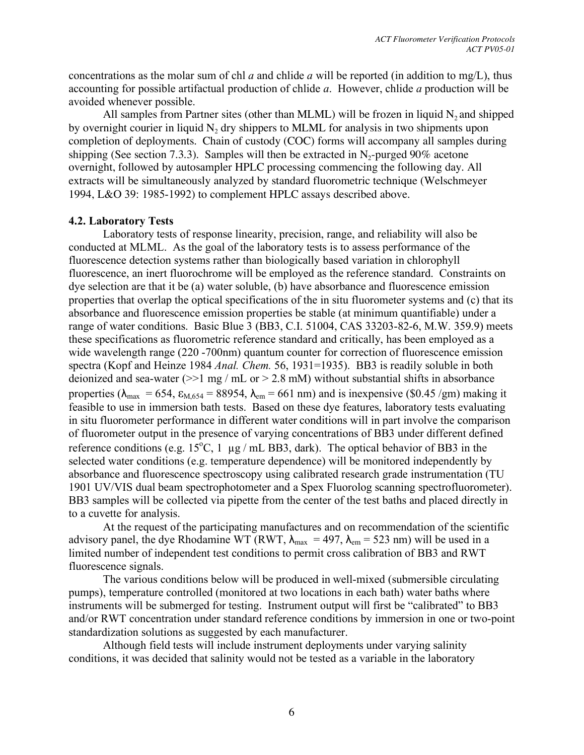concentrations as the molar sum of chl *a* and chlide *a* will be reported (in addition to mg/L), thus accounting for possible artifactual production of chlide *a*. However, chlide *a* production will be avoided whenever possible.

All samples from Partner sites (other than MLML) will be frozen in liquid  $N_2$  and shipped by overnight courier in liquid  $N<sub>2</sub>$  dry shippers to MLML for analysis in two shipments upon completion of deployments. Chain of custody (COC) forms will accompany all samples during shipping (See section 7.3.3). Samples will then be extracted in  $N_2$ -purged 90% acetone overnight, followed by autosampler HPLC processing commencing the following day. All extracts will be simultaneously analyzed by standard fluorometric technique (Welschmeyer 1994, L&O 39: 1985-1992) to complement HPLC assays described above.

#### **4.2. Laboratory Tests**

Laboratory tests of response linearity, precision, range, and reliability will also be conducted at MLML. As the goal of the laboratory tests is to assess performance of the fluorescence detection systems rather than biologically based variation in chlorophyll fluorescence, an inert fluorochrome will be employed as the reference standard. Constraints on dye selection are that it be (a) water soluble, (b) have absorbance and fluorescence emission properties that overlap the optical specifications of the in situ fluorometer systems and (c) that its absorbance and fluorescence emission properties be stable (at minimum quantifiable) under a range of water conditions. Basic Blue 3 (BB3, C.I. 51004, CAS 33203-82-6, M.W. 359.9) meets these specifications as fluorometric reference standard and critically, has been employed as a wide wavelength range (220 -700nm) quantum counter for correction of fluorescence emission spectra (Kopf and Heinze 1984 *Anal. Chem.* 56, 1931=1935). BB3 is readily soluble in both deionized and sea-water ( $>1$  mg / mL or  $> 2.8$  mM) without substantial shifts in absorbance properties ( $\lambda_{\text{max}} = 654$ ,  $\varepsilon_{\text{M.654}} = 88954$ ,  $\lambda_{\text{em}} = 661 \text{ nm}$ ) and is inexpensive (\$0.45 /gm) making it feasible to use in immersion bath tests. Based on these dye features, laboratory tests evaluating in situ fluorometer performance in different water conditions will in part involve the comparison of fluorometer output in the presence of varying concentrations of BB3 under different defined reference conditions (e.g. 15 $^{\circ}$ C, 1 µg / mL BB3, dark). The optical behavior of BB3 in the selected water conditions (e.g. temperature dependence) will be monitored independently by absorbance and fluorescence spectroscopy using calibrated research grade instrumentation (TU 1901 UV/VIS dual beam spectrophotometer and a Spex Fluorolog scanning spectrofluorometer). BB3 samples will be collected via pipette from the center of the test baths and placed directly in to a cuvette for analysis.

At the request of the participating manufactures and on recommendation of the scientific advisory panel, the dye Rhodamine WT (RWT,  $\lambda_{\text{max}} = 497$ ,  $\lambda_{\text{em}} = 523$  nm) will be used in a limited number of independent test conditions to permit cross calibration of BB3 and RWT fluorescence signals.

The various conditions below will be produced in well-mixed (submersible circulating pumps), temperature controlled (monitored at two locations in each bath) water baths where instruments will be submerged for testing. Instrument output will first be "calibrated" to BB3 and/or RWT concentration under standard reference conditions by immersion in one or two-point standardization solutions as suggested by each manufacturer.

Although field tests will include instrument deployments under varying salinity conditions, it was decided that salinity would not be tested as a variable in the laboratory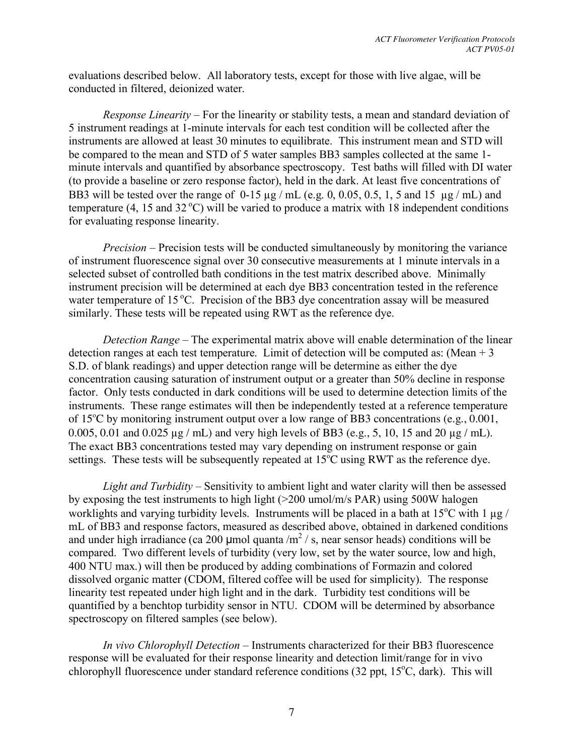evaluations described below. All laboratory tests, except for those with live algae, will be conducted in filtered, deionized water.

*Response Linearity –* For the linearity or stability tests, a mean and standard deviation of 5 instrument readings at 1-minute intervals for each test condition will be collected after the instruments are allowed at least 30 minutes to equilibrate. This instrument mean and STD will be compared to the mean and STD of 5 water samples BB3 samples collected at the same 1 minute intervals and quantified by absorbance spectroscopy. Test baths will filled with DI water (to provide a baseline or zero response factor), held in the dark. At least five concentrations of BB3 will be tested over the range of  $0-15 \mu g$  /mL (e.g. 0, 0.05, 0.5, 1, 5 and 15  $\mu g$  /mL) and temperature  $(4, 15 \text{ and } 32 \degree C)$  will be varied to produce a matrix with 18 independent conditions for evaluating response linearity.

*Precision –* Precision tests will be conducted simultaneously by monitoring the variance of instrument fluorescence signal over 30 consecutive measurements at 1 minute intervals in a selected subset of controlled bath conditions in the test matrix described above. Minimally instrument precision will be determined at each dye BB3 concentration tested in the reference water temperature of 15 °C. Precision of the BB3 dye concentration assay will be measured similarly. These tests will be repeated using RWT as the reference dye.

*Detection Range* – The experimental matrix above will enable determination of the linear detection ranges at each test temperature. Limit of detection will be computed as: (Mean  $+3$ ) S.D. of blank readings) and upper detection range will be determine as either the dye concentration causing saturation of instrument output or a greater than 50% decline in response factor. Only tests conducted in dark conditions will be used to determine detection limits of the instruments. These range estimates will then be independently tested at a reference temperature of 15°C by monitoring instrument output over a low range of BB3 concentrations (e.g., 0.001, 0.005, 0.01 and 0.025 µg / mL) and very high levels of BB3 (e.g., 5, 10, 15 and 20 µg / mL). The exact BB3 concentrations tested may vary depending on instrument response or gain settings. These tests will be subsequently repeated at 15°C using RWT as the reference dye.

*Light and Turbidity* – Sensitivity to ambient light and water clarity will then be assessed by exposing the test instruments to high light (>200 umol/m/s PAR) using 500W halogen worklights and varying turbidity levels. Instruments will be placed in a bath at  $15^{\circ}$ C with 1 µg / mL of BB3 and response factors, measured as described above, obtained in darkened conditions and under high irradiance (ca 200 µmol quanta /m<sup>2</sup> / s, near sensor heads) conditions will be compared. Two different levels of turbidity (very low, set by the water source, low and high, 400 NTU max.) will then be produced by adding combinations of Formazin and colored dissolved organic matter (CDOM, filtered coffee will be used for simplicity). The response linearity test repeated under high light and in the dark. Turbidity test conditions will be quantified by a benchtop turbidity sensor in NTU. CDOM will be determined by absorbance spectroscopy on filtered samples (see below).

*In vivo Chlorophyll Detection –* Instruments characterized for their BB3 fluorescence response will be evaluated for their response linearity and detection limit/range for in vivo chlorophyll fluorescence under standard reference conditions (32 ppt,  $15^{\circ}$ C, dark). This will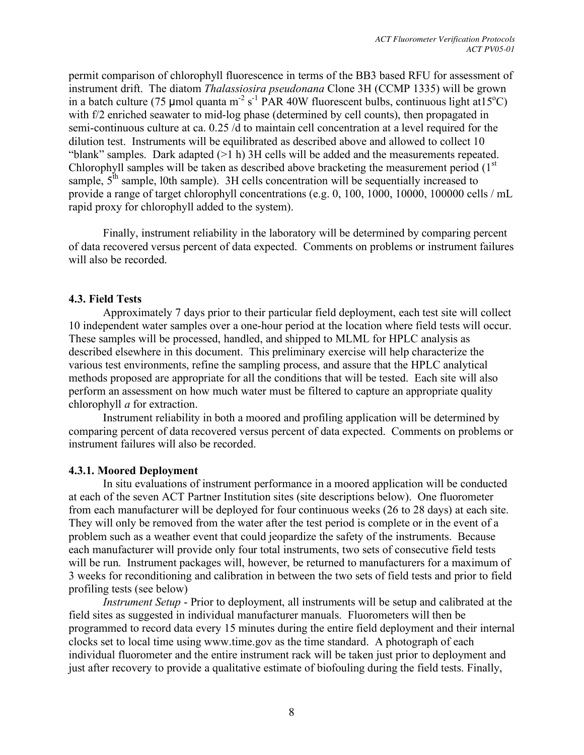permit comparison of chlorophyll fluorescence in terms of the BB3 based RFU for assessment of instrument drift. The diatom *Thalassiosira pseudonana* Clone 3H (CCMP 1335) will be grown in a batch culture (75 µmol quanta m<sup>-2</sup> s<sup>-1</sup> PAR 40W fluorescent bulbs, continuous light at  $15^{\circ}$ C) with f/2 enriched seawater to mid-log phase (determined by cell counts), then propagated in semi-continuous culture at ca. 0.25 /d to maintain cell concentration at a level required for the dilution test. Instruments will be equilibrated as described above and allowed to collect 10 "blank" samples. Dark adapted  $(>1 h)$  3H cells will be added and the measurements repeated. Chlorophyll samples will be taken as described above bracketing the measurement period  $(1<sup>st</sup>$ sample,  $5<sup>th</sup>$  sample, 10th sample). 3H cells concentration will be sequentially increased to provide a range of target chlorophyll concentrations (e.g. 0, 100, 1000, 10000, 100000 cells / mL rapid proxy for chlorophyll added to the system).

Finally, instrument reliability in the laboratory will be determined by comparing percent of data recovered versus percent of data expected. Comments on problems or instrument failures will also be recorded.

#### **4.3. Field Tests**

Approximately 7 days prior to their particular field deployment, each test site will collect 10 independent water samples over a one-hour period at the location where field tests will occur. These samples will be processed, handled, and shipped to MLML for HPLC analysis as described elsewhere in this document. This preliminary exercise will help characterize the various test environments, refine the sampling process, and assure that the HPLC analytical methods proposed are appropriate for all the conditions that will be tested. Each site will also perform an assessment on how much water must be filtered to capture an appropriate quality chlorophyll *a* for extraction.

Instrument reliability in both a moored and profiling application will be determined by comparing percent of data recovered versus percent of data expected. Comments on problems or instrument failures will also be recorded.

## **4.3.1. Moored Deployment**

In situ evaluations of instrument performance in a moored application will be conducted at each of the seven ACT Partner Institution sites (site descriptions below). One fluorometer from each manufacturer will be deployed for four continuous weeks (26 to 28 days) at each site. They will only be removed from the water after the test period is complete or in the event of a problem such as a weather event that could jeopardize the safety of the instruments. Because each manufacturer will provide only four total instruments, two sets of consecutive field tests will be run. Instrument packages will, however, be returned to manufacturers for a maximum of 3 weeks for reconditioning and calibration in between the two sets of field tests and prior to field profiling tests (see below)

*Instrument Setup* - Prior to deployment, all instruments will be setup and calibrated at the field sites as suggested in individual manufacturer manuals. Fluorometers will then be programmed to record data every 15 minutes during the entire field deployment and their internal clocks set to local time using www.time.gov as the time standard. A photograph of each individual fluorometer and the entire instrument rack will be taken just prior to deployment and just after recovery to provide a qualitative estimate of biofouling during the field tests. Finally,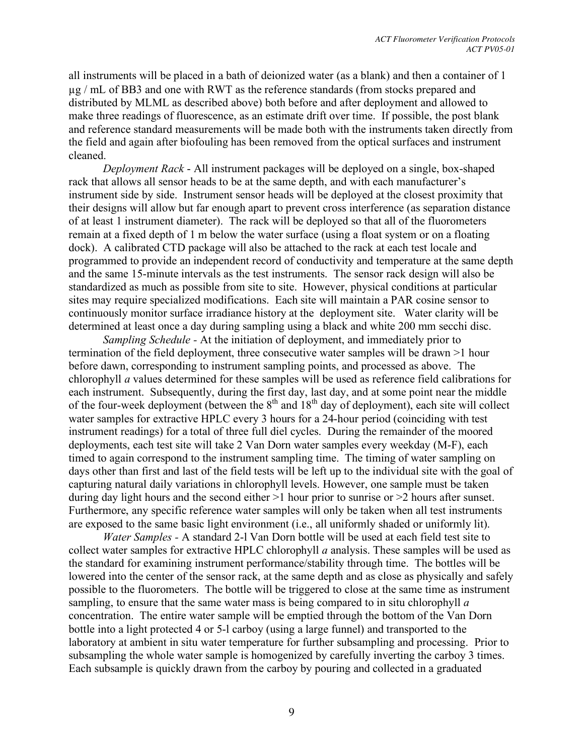all instruments will be placed in a bath of deionized water (as a blank) and then a container of 1 µg / mL of BB3 and one with RWT as the reference standards (from stocks prepared and distributed by MLML as described above) both before and after deployment and allowed to make three readings of fluorescence, as an estimate drift over time. If possible, the post blank and reference standard measurements will be made both with the instruments taken directly from the field and again after biofouling has been removed from the optical surfaces and instrument cleaned.

*Deployment Rack* - All instrument packages will be deployed on a single, box-shaped rack that allows all sensor heads to be at the same depth, and with each manufacturer's instrument side by side. Instrument sensor heads will be deployed at the closest proximity that their designs will allow but far enough apart to prevent cross interference (as separation distance of at least 1 instrument diameter). The rack will be deployed so that all of the fluorometers remain at a fixed depth of 1 m below the water surface (using a float system or on a floating dock). A calibrated CTD package will also be attached to the rack at each test locale and programmed to provide an independent record of conductivity and temperature at the same depth and the same 15-minute intervals as the test instruments. The sensor rack design will also be standardized as much as possible from site to site. However, physical conditions at particular sites may require specialized modifications. Each site will maintain a PAR cosine sensor to continuously monitor surface irradiance history at the deployment site. Water clarity will be determined at least once a day during sampling using a black and white 200 mm secchi disc.

*Sampling Schedule -* At the initiation of deployment, and immediately prior to termination of the field deployment, three consecutive water samples will be drawn >1 hour before dawn, corresponding to instrument sampling points, and processed as above. The chlorophyll *a* values determined for these samples will be used as reference field calibrations for each instrument. Subsequently, during the first day, last day, and at some point near the middle of the four-week deployment (between the  $8<sup>th</sup>$  and  $18<sup>th</sup>$  day of deployment), each site will collect water samples for extractive HPLC every 3 hours for a 24-hour period (coinciding with test instrument readings) for a total of three full diel cycles. During the remainder of the moored deployments, each test site will take 2 Van Dorn water samples every weekday (M-F), each timed to again correspond to the instrument sampling time. The timing of water sampling on days other than first and last of the field tests will be left up to the individual site with the goal of capturing natural daily variations in chlorophyll levels. However, one sample must be taken during day light hours and the second either >1 hour prior to sunrise or >2 hours after sunset. Furthermore, any specific reference water samples will only be taken when all test instruments are exposed to the same basic light environment (i.e., all uniformly shaded or uniformly lit).

*Water Samples -* A standard 2-l Van Dorn bottle will be used at each field test site to collect water samples for extractive HPLC chlorophyll *a* analysis. These samples will be used as the standard for examining instrument performance/stability through time. The bottles will be lowered into the center of the sensor rack, at the same depth and as close as physically and safely possible to the fluorometers. The bottle will be triggered to close at the same time as instrument sampling, to ensure that the same water mass is being compared to in situ chlorophyll *a* concentration. The entire water sample will be emptied through the bottom of the Van Dorn bottle into a light protected 4 or 5-l carboy (using a large funnel) and transported to the laboratory at ambient in situ water temperature for further subsampling and processing. Prior to subsampling the whole water sample is homogenized by carefully inverting the carboy 3 times. Each subsample is quickly drawn from the carboy by pouring and collected in a graduated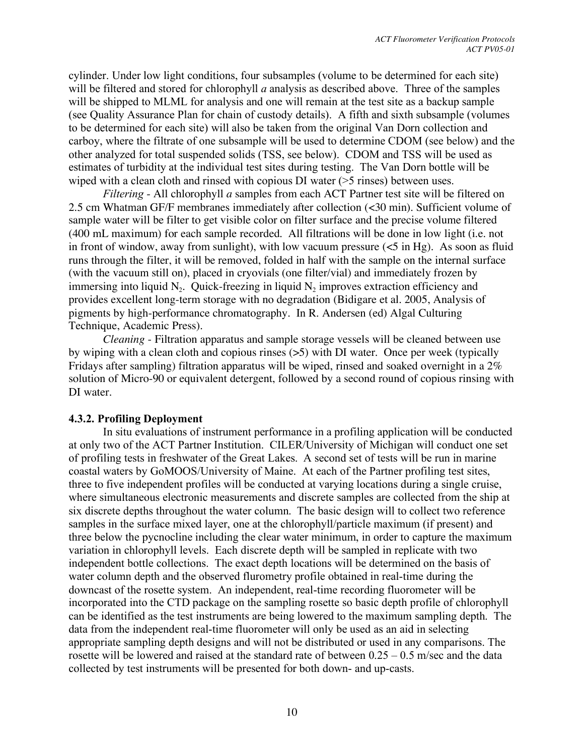cylinder. Under low light conditions, four subsamples (volume to be determined for each site) will be filtered and stored for chlorophyll *a* analysis as described above. Three of the samples will be shipped to MLML for analysis and one will remain at the test site as a backup sample (see Quality Assurance Plan for chain of custody details). A fifth and sixth subsample (volumes to be determined for each site) will also be taken from the original Van Dorn collection and carboy, where the filtrate of one subsample will be used to determine CDOM (see below) and the other analyzed for total suspended solids (TSS, see below). CDOM and TSS will be used as estimates of turbidity at the individual test sites during testing. The Van Dorn bottle will be wiped with a clean cloth and rinsed with copious DI water ( $>5$  rinses) between uses.

*Filtering -* All chlorophyll *a* samples from each ACT Partner test site will be filtered on 2.5 cm Whatman GF/F membranes immediately after collection (<30 min). Sufficient volume of sample water will be filter to get visible color on filter surface and the precise volume filtered (400 mL maximum) for each sample recorded. All filtrations will be done in low light (i.e. not in front of window, away from sunlight), with low vacuum pressure  $(<5$  in Hg). As soon as fluid runs through the filter, it will be removed, folded in half with the sample on the internal surface (with the vacuum still on), placed in cryovials (one filter/vial) and immediately frozen by immersing into liquid  $N_2$ . Quick-freezing in liquid  $N_2$  improves extraction efficiency and provides excellent long-term storage with no degradation (Bidigare et al. 2005, Analysis of pigments by high-performance chromatography. In R. Andersen (ed) Algal Culturing Technique, Academic Press).

*Cleaning* - Filtration apparatus and sample storage vessels will be cleaned between use by wiping with a clean cloth and copious rinses (>5) with DI water. Once per week (typically Fridays after sampling) filtration apparatus will be wiped, rinsed and soaked overnight in a 2% solution of Micro-90 or equivalent detergent, followed by a second round of copious rinsing with DI water.

#### **4.3.2. Profiling Deployment**

In situ evaluations of instrument performance in a profiling application will be conducted at only two of the ACT Partner Institution. CILER/University of Michigan will conduct one set of profiling tests in freshwater of the Great Lakes. A second set of tests will be run in marine coastal waters by GoMOOS/University of Maine. At each of the Partner profiling test sites, three to five independent profiles will be conducted at varying locations during a single cruise, where simultaneous electronic measurements and discrete samples are collected from the ship at six discrete depths throughout the water column. The basic design will to collect two reference samples in the surface mixed layer, one at the chlorophyll/particle maximum (if present) and three below the pycnocline including the clear water minimum, in order to capture the maximum variation in chlorophyll levels. Each discrete depth will be sampled in replicate with two independent bottle collections. The exact depth locations will be determined on the basis of water column depth and the observed flurometry profile obtained in real-time during the downcast of the rosette system. An independent, real-time recording fluorometer will be incorporated into the CTD package on the sampling rosette so basic depth profile of chlorophyll can be identified as the test instruments are being lowered to the maximum sampling depth. The data from the independent real-time fluorometer will only be used as an aid in selecting appropriate sampling depth designs and will not be distributed or used in any comparisons. The rosette will be lowered and raised at the standard rate of between 0.25 – 0.5 m/sec and the data collected by test instruments will be presented for both down- and up-casts.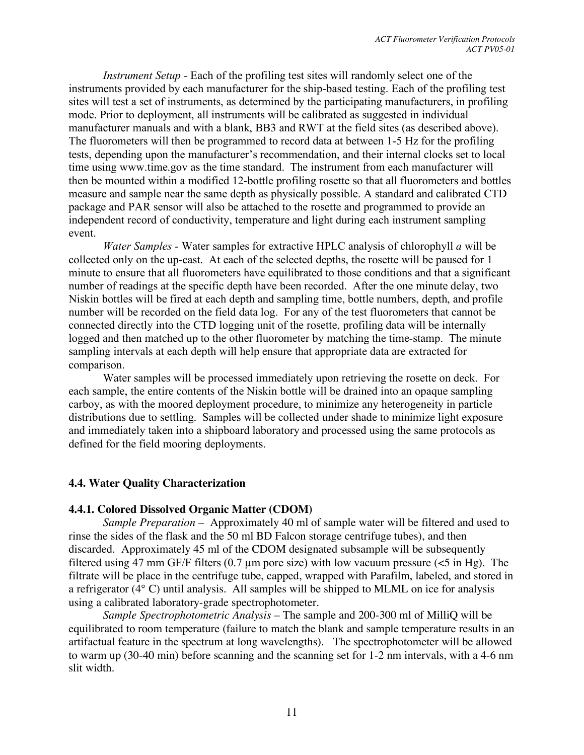*Instrument Setup -* Each of the profiling test sites will randomly select one of the instruments provided by each manufacturer for the ship-based testing. Each of the profiling test sites will test a set of instruments, as determined by the participating manufacturers, in profiling mode. Prior to deployment, all instruments will be calibrated as suggested in individual manufacturer manuals and with a blank, BB3 and RWT at the field sites (as described above). The fluorometers will then be programmed to record data at between 1-5 Hz for the profiling tests, depending upon the manufacturer's recommendation, and their internal clocks set to local time using www.time.gov as the time standard. The instrument from each manufacturer will then be mounted within a modified 12-bottle profiling rosette so that all fluorometers and bottles measure and sample near the same depth as physically possible. A standard and calibrated CTD package and PAR sensor will also be attached to the rosette and programmed to provide an independent record of conductivity, temperature and light during each instrument sampling event.

*Water Samples -* Water samples for extractive HPLC analysis of chlorophyll *a* will be collected only on the up-cast. At each of the selected depths, the rosette will be paused for 1 minute to ensure that all fluorometers have equilibrated to those conditions and that a significant number of readings at the specific depth have been recorded. After the one minute delay, two Niskin bottles will be fired at each depth and sampling time, bottle numbers, depth, and profile number will be recorded on the field data log. For any of the test fluorometers that cannot be connected directly into the CTD logging unit of the rosette, profiling data will be internally logged and then matched up to the other fluorometer by matching the time-stamp. The minute sampling intervals at each depth will help ensure that appropriate data are extracted for comparison.

Water samples will be processed immediately upon retrieving the rosette on deck. For each sample, the entire contents of the Niskin bottle will be drained into an opaque sampling carboy, as with the moored deployment procedure, to minimize any heterogeneity in particle distributions due to settling. Samples will be collected under shade to minimize light exposure and immediately taken into a shipboard laboratory and processed using the same protocols as defined for the field mooring deployments.

#### **4.4. Water Quality Characterization**

#### **4.4.1. Colored Dissolved Organic Matter (CDOM)**

*Sample Preparation –* Approximately 40 ml of sample water will be filtered and used to rinse the sides of the flask and the 50 ml BD Falcon storage centrifuge tubes), and then discarded. Approximately 45 ml of the CDOM designated subsample will be subsequently filtered using 47 mm GF/F filters (0.7 um pore size) with low vacuum pressure ( $\lt 5$  in Hg). The filtrate will be place in the centrifuge tube, capped, wrapped with Parafilm, labeled, and stored in a refrigerator (4° C) until analysis. All samples will be shipped to MLML on ice for analysis using a calibrated laboratory-grade spectrophotometer.

*Sample Spectrophotometric Analysis* – The sample and 200-300 ml of MilliQ will be equilibrated to room temperature (failure to match the blank and sample temperature results in an artifactual feature in the spectrum at long wavelengths). The spectrophotometer will be allowed to warm up (30-40 min) before scanning and the scanning set for 1-2 nm intervals, with a 4-6 nm slit width.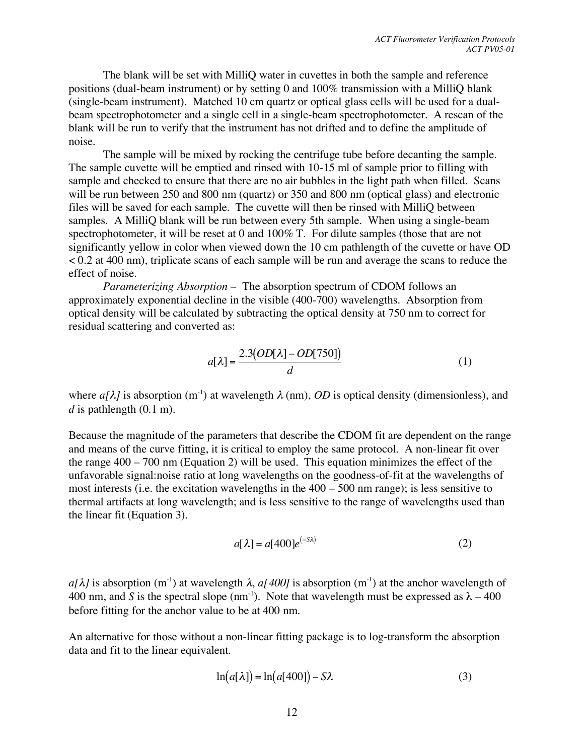The blank will be set with MilliQ water in cuvettes in both the sample and reference positions (dual-beam instrument) or by setting 0 and 100% transmission with a MilliQ blank (single-beam instrument). Matched 10 cm quartz or optical glass cells will be used for a dualbeam spectrophotometer and a single cell in a single-beam spectrophotometer. A rescan of the blank will be run to verify that the instrument has not drifted and to define the amplitude of noise.

The sample will be mixed by rocking the centrifuge tube before decanting the sample. The sample cuvette will be emptied and rinsed with 10-15 ml of sample prior to filling with sample and checked to ensure that there are no air bubbles in the light path when filled. Scans will be run between 250 and 800 nm (quartz) or 350 and 800 nm (optical glass) and electronic files will be saved for each sample. The cuvette will then be rinsed with MilliQ between samples. A MilliQ blank will be run between every 5th sample. When using a single-beam spectrophotometer, it will be reset at 0 and 100% T. For dilute samples (those that are not significantly yellow in color when viewed down the 10 cm pathlength of the cuvette or have OD < 0.2 at 400 nm), triplicate scans of each sample will be run and average the scans to reduce the effect of noise.

*Parameterizing Absorption* – The absorption spectrum of CDOM follows an approximately exponential decline in the visible (400-700) wavelengths. Absorption from optical density will be calculated by subtracting the optical density at 750 nm to correct for residual scattering and converted as:

$$
a[\lambda] = \frac{2.3(OD[\lambda] - OD[750])}{d}
$$
 (1)

where  $a[\lambda]$  is absorption (m<sup>-1</sup>) at wavelength  $\lambda$  (nm), *OD* is optical density (dimensionless), and  $d$  is pathlength  $(0.1 \text{ m})$ .

Because the magnitude of the parameters that describe the CDOM fit are dependent on the range and means of the curve fitting, it is critical to employ the same protocol. A non-linear fit over the range 400 – 700 nm (Equation 2) will be used. This equation minimizes the effect of the unfavorable signal:noise ratio at long wavelengths on the goodness-of-fit at the wavelengths of most interests (i.e. the excitation wavelengths in the 400 – 500 nm range); is less sensitive to thermal artifacts at long wavelength; and is less sensitive to the range of wavelengths used than the linear fit (Equation 3).

$$
a[\lambda] = a[400]e^{(-S\lambda)}\tag{2}
$$

400 nm, and *S* is the spectral slope (nm<sup>-1</sup>). Note that wavelength must be expressed as  $\lambda - 400$ *a*[ $\lambda$ ] is absorption (m<sup>-1</sup>) at wavelength  $\lambda$ , *a*[ $400$ ] is absorption (m<sup>-1</sup>) at the anchor wavelength of before fitting for the anchor value to be at 400 nm.

An alternative for those without a non-linear fitting package is to log-transform the absorption data and fit to the linear equivalent.

$$
\ln(a[\lambda]) = \ln(a[400]) - S\lambda \tag{3}
$$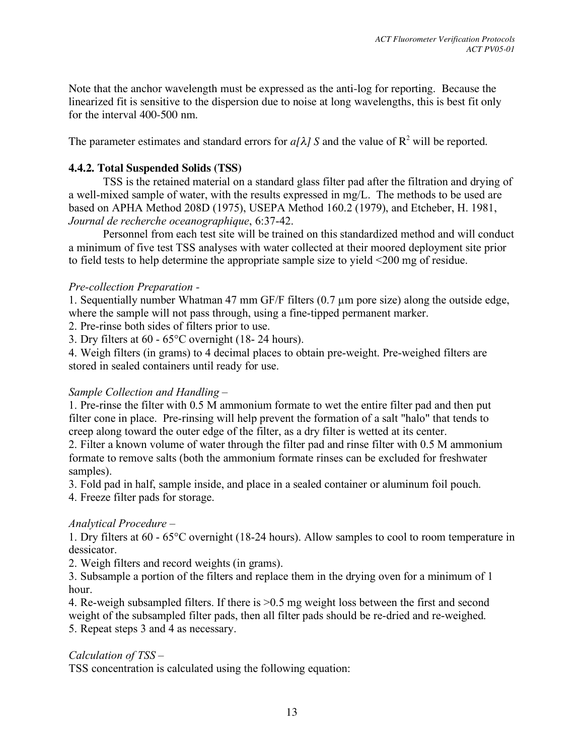Note that the anchor wavelength must be expressed as the anti-log for reporting. Because the linearized fit is sensitive to the dispersion due to noise at long wavelengths, this is best fit only for the interval 400-500 nm.

The parameter estimates and standard errors for  $a/\lambda$  *S* and the value of  $R^2$  will be reported.

#### **4.4.2. Total Suspended Solids (TSS)**

TSS is the retained material on a standard glass filter pad after the filtration and drying of a well-mixed sample of water, with the results expressed in mg/L. The methods to be used are based on APHA Method 208D (1975), USEPA Method 160.2 (1979), and Etcheber, H. 1981, *Journal de recherche oceanographique*, 6:37-42.

Personnel from each test site will be trained on this standardized method and will conduct a minimum of five test TSS analyses with water collected at their moored deployment site prior to field tests to help determine the appropriate sample size to yield <200 mg of residue.

#### *Pre-collection Preparation -*

1. Sequentially number Whatman 47 mm GF/F filters (0.7 µm pore size) along the outside edge, where the sample will not pass through, using a fine-tipped permanent marker.

2. Pre-rinse both sides of filters prior to use.

3. Dry filters at 60 - 65°C overnight (18- 24 hours).

4. Weigh filters (in grams) to 4 decimal places to obtain pre-weight. Pre-weighed filters are stored in sealed containers until ready for use.

## *Sample Collection and Handling* –

1. Pre-rinse the filter with 0.5 M ammonium formate to wet the entire filter pad and then put filter cone in place. Pre-rinsing will help prevent the formation of a salt "halo" that tends to creep along toward the outer edge of the filter, as a dry filter is wetted at its center.

2. Filter a known volume of water through the filter pad and rinse filter with 0.5 M ammonium formate to remove salts (both the ammonium formate rinses can be excluded for freshwater samples).

3. Fold pad in half, sample inside, and place in a sealed container or aluminum foil pouch.

4. Freeze filter pads for storage.

#### *Analytical Procedure* –

1. Dry filters at 60 - 65°C overnight (18-24 hours). Allow samples to cool to room temperature in dessicator.

2. Weigh filters and record weights (in grams).

3. Subsample a portion of the filters and replace them in the drying oven for a minimum of 1 hour.

4. Re-weigh subsampled filters. If there is >0.5 mg weight loss between the first and second weight of the subsampled filter pads, then all filter pads should be re-dried and re-weighed. 5. Repeat steps 3 and 4 as necessary.

## *Calculation of TSS –*

TSS concentration is calculated using the following equation: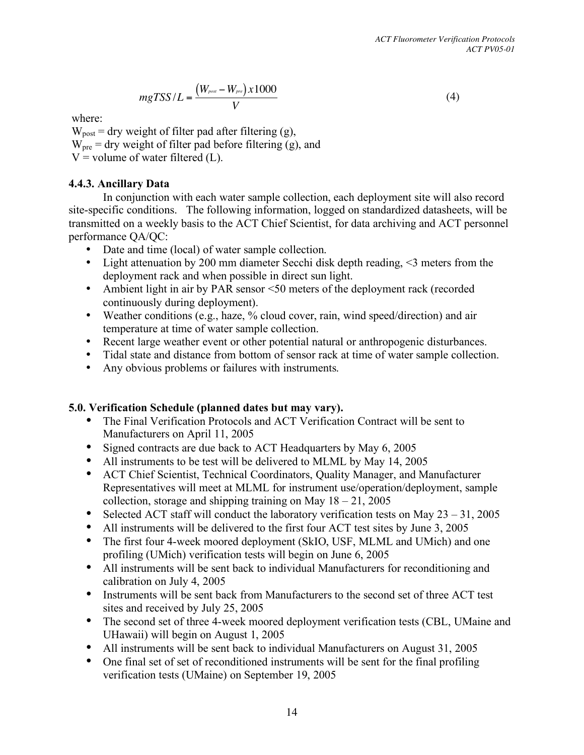(4)

 $mgTSS/L = \frac{(W_{post} - W_{pre}) \times 1000}{V}$ *V*

where:

 $V =$  volume of water filtered (L).  $W_{\text{post}} =$  dry weight of filter pad after filtering (g),  $W_{\text{pre}}$  = dry weight of filter pad before filtering (g), and

## **4.4.3. Ancillary Data**

In conjunction with each water sample collection, each deployment site will also record site-specific conditions. The following information, logged on standardized datasheets, will be transmitted on a weekly basis to the ACT Chief Scientist, for data archiving and ACT personnel performance QA/QC:

- Date and time (local) of water sample collection.
- Light attenuation by 200 mm diameter Secchi disk depth reading, <3 meters from the deployment rack and when possible in direct sun light.
- Ambient light in air by PAR sensor <50 meters of the deployment rack (recorded continuously during deployment).
- Weather conditions (e.g., haze, % cloud cover, rain, wind speed/direction) and air temperature at time of water sample collection.
- Recent large weather event or other potential natural or anthropogenic disturbances.
- Tidal state and distance from bottom of sensor rack at time of water sample collection.
- Any obvious problems or failures with instruments.

## **5.0. Verification Schedule (planned dates but may vary).**

- The Final Verification Protocols and ACT Verification Contract will be sent to Manufacturers on April 11, 2005
- Signed contracts are due back to ACT Headquarters by May 6, 2005
- All instruments to be test will be delivered to MLML by May 14, 2005
- ACT Chief Scientist, Technical Coordinators, Quality Manager, and Manufacturer Representatives will meet at MLML for instrument use/operation/deployment, sample collection, storage and shipping training on May  $18 - 21$ , 2005
- Selected ACT staff will conduct the laboratory verification tests on May  $23 31$ , 2005
- All instruments will be delivered to the first four ACT test sites by June 3, 2005
- The first four 4-week moored deployment (SkIO, USF, MLML and UMich) and one profiling (UMich) verification tests will begin on June 6, 2005
- All instruments will be sent back to individual Manufacturers for reconditioning and calibration on July 4, 2005
- Instruments will be sent back from Manufacturers to the second set of three ACT test sites and received by July 25, 2005
- The second set of three 4-week moored deployment verification tests (CBL, UMaine and UHawaii) will begin on August 1, 2005
- All instruments will be sent back to individual Manufacturers on August 31, 2005
- One final set of set of reconditioned instruments will be sent for the final profiling verification tests (UMaine) on September 19, 2005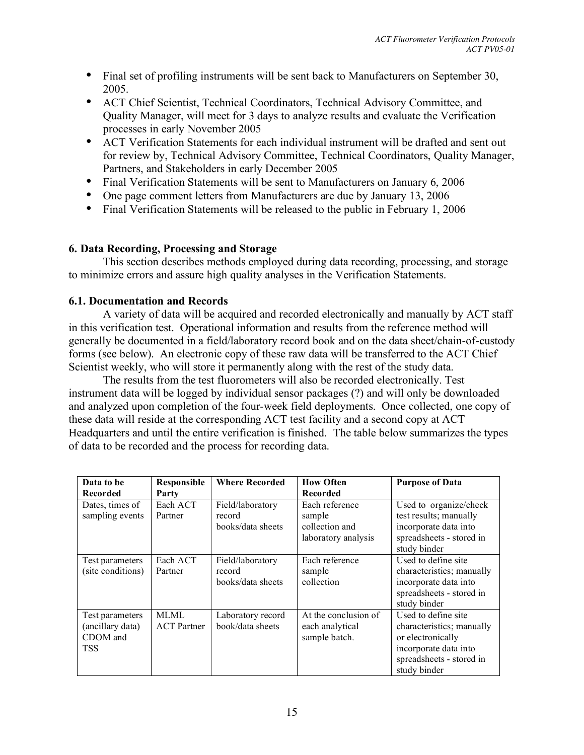- Final set of profiling instruments will be sent back to Manufacturers on September 30, 2005.
- ACT Chief Scientist, Technical Coordinators, Technical Advisory Committee, and Quality Manager, will meet for 3 days to analyze results and evaluate the Verification processes in early November 2005
- ACT Verification Statements for each individual instrument will be drafted and sent out for review by, Technical Advisory Committee, Technical Coordinators, Quality Manager, Partners, and Stakeholders in early December 2005
- Final Verification Statements will be sent to Manufacturers on January 6, 2006
- One page comment letters from Manufacturers are due by January 13, 2006
- Final Verification Statements will be released to the public in February 1, 2006

## **6. Data Recording, Processing and Storage**

This section describes methods employed during data recording, processing, and storage to minimize errors and assure high quality analyses in the Verification Statements.

#### **6.1. Documentation and Records**

A variety of data will be acquired and recorded electronically and manually by ACT staff in this verification test. Operational information and results from the reference method will generally be documented in a field/laboratory record book and on the data sheet/chain-of-custody forms (see below). An electronic copy of these raw data will be transferred to the ACT Chief Scientist weekly, who will store it permanently along with the rest of the study data.

The results from the test fluorometers will also be recorded electronically. Test instrument data will be logged by individual sensor packages (?) and will only be downloaded and analyzed upon completion of the four-week field deployments. Once collected, one copy of these data will reside at the corresponding ACT test facility and a second copy at ACT Headquarters and until the entire verification is finished. The table below summarizes the types of data to be recorded and the process for recording data.

| Data to be        | <b>Responsible</b> | <b>Where Recorded</b> | <b>How Often</b>     | <b>Purpose of Data</b>    |
|-------------------|--------------------|-----------------------|----------------------|---------------------------|
| Recorded          | Party              |                       | Recorded             |                           |
| Dates, times of   | Each ACT           | Field/laboratory      | Each reference       | Used to organize/check    |
| sampling events   | Partner            | record                | sample               | test results; manually    |
|                   |                    | books/data sheets     | collection and       | incorporate data into     |
|                   |                    |                       | laboratory analysis  | spreadsheets - stored in  |
|                   |                    |                       |                      | study binder              |
| Test parameters   | Each ACT           | Field/laboratory      | Each reference       | Used to define site       |
| (site conditions) | Partner            | record                | sample               | characteristics; manually |
|                   |                    | books/data sheets     | collection           | incorporate data into     |
|                   |                    |                       |                      | spreadsheets - stored in  |
|                   |                    |                       |                      | study binder              |
| Test parameters   | MLML               | Laboratory record     | At the conclusion of | Used to define site       |
| (ancillary data)  | <b>ACT</b> Partner | book/data sheets      | each analytical      | characteristics; manually |
| CDOM and          |                    |                       | sample batch.        | or electronically         |
| <b>TSS</b>        |                    |                       |                      | incorporate data into     |
|                   |                    |                       |                      | spreadsheets - stored in  |
|                   |                    |                       |                      | study binder              |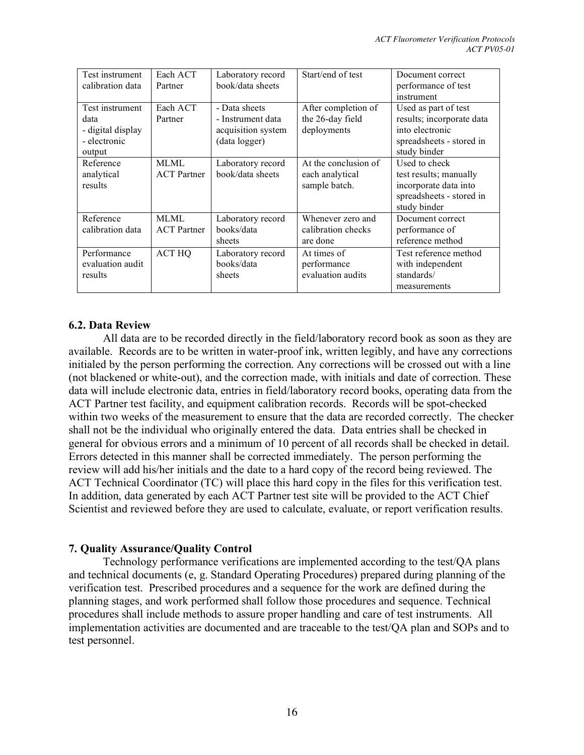| Test instrument<br>calibration data                                    | Each ACT<br>Partner        | Laboratory record<br>book/data sheets                                     | Start/end of test                                        | Document correct<br>performance of test<br>instrument                                                            |
|------------------------------------------------------------------------|----------------------------|---------------------------------------------------------------------------|----------------------------------------------------------|------------------------------------------------------------------------------------------------------------------|
| Test instrument<br>data<br>- digital display<br>- electronic<br>output | Each ACT<br>Partner        | - Data sheets<br>- Instrument data<br>acquisition system<br>(data logger) | After completion of<br>the 26-day field<br>deployments   | Used as part of test<br>results; incorporate data<br>into electronic<br>spreadsheets - stored in<br>study binder |
| Reference<br>analytical<br>results                                     | MLML<br><b>ACT</b> Partner | Laboratory record<br>book/data sheets                                     | At the conclusion of<br>each analytical<br>sample batch. | Used to check<br>test results; manually<br>incorporate data into<br>spreadsheets - stored in<br>study binder     |
| Reference<br>calibration data                                          | MLML<br><b>ACT</b> Partner | Laboratory record<br>books/data<br>sheets                                 | Whenever zero and<br>calibration checks<br>are done      | Document correct<br>performance of<br>reference method                                                           |
| Performance<br>evaluation audit<br>results                             | ACT HQ                     | Laboratory record<br>books/data<br>sheets                                 | At times of<br>performance<br>evaluation audits          | Test reference method<br>with independent<br>standards/<br>measurements                                          |

#### **6.2. Data Review**

All data are to be recorded directly in the field/laboratory record book as soon as they are available. Records are to be written in water-proof ink, written legibly, and have any corrections initialed by the person performing the correction. Any corrections will be crossed out with a line (not blackened or white-out), and the correction made, with initials and date of correction. These data will include electronic data, entries in field/laboratory record books, operating data from the ACT Partner test facility, and equipment calibration records. Records will be spot-checked within two weeks of the measurement to ensure that the data are recorded correctly. The checker shall not be the individual who originally entered the data. Data entries shall be checked in general for obvious errors and a minimum of 10 percent of all records shall be checked in detail. Errors detected in this manner shall be corrected immediately. The person performing the review will add his/her initials and the date to a hard copy of the record being reviewed. The ACT Technical Coordinator (TC) will place this hard copy in the files for this verification test. In addition, data generated by each ACT Partner test site will be provided to the ACT Chief Scientist and reviewed before they are used to calculate, evaluate, or report verification results.

## **7. Quality Assurance/Quality Control**

Technology performance verifications are implemented according to the test/QA plans and technical documents (e, g. Standard Operating Procedures) prepared during planning of the verification test. Prescribed procedures and a sequence for the work are defined during the planning stages, and work performed shall follow those procedures and sequence. Technical procedures shall include methods to assure proper handling and care of test instruments. All implementation activities are documented and are traceable to the test/QA plan and SOPs and to test personnel.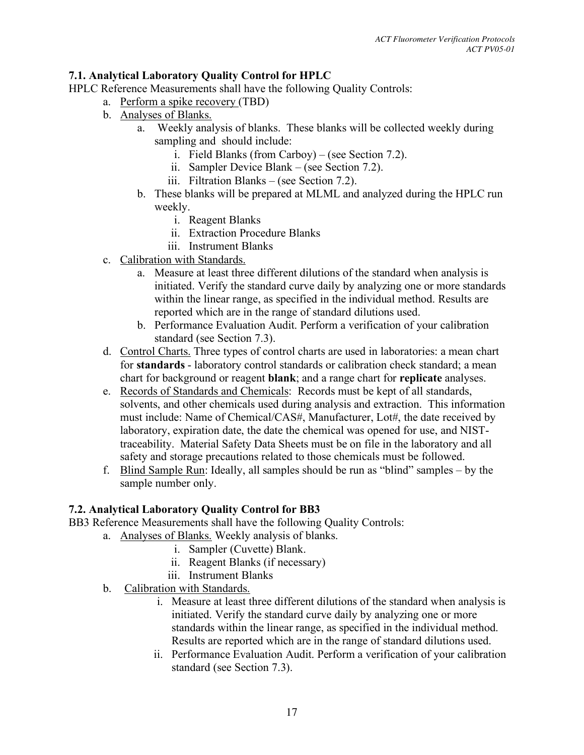## **7.1. Analytical Laboratory Quality Control for HPLC**

HPLC Reference Measurements shall have the following Quality Controls:

- a. Perform a spike recovery (TBD)
- b. Analyses of Blanks.
	- a. Weekly analysis of blanks. These blanks will be collected weekly during sampling and should include:
		- i. Field Blanks (from Carboy) (see Section 7.2).
		- ii. Sampler Device Blank (see Section 7.2).
		- iii. Filtration Blanks (see Section 7.2).
	- b. These blanks will be prepared at MLML and analyzed during the HPLC run weekly.
		- i. Reagent Blanks
		- ii. Extraction Procedure Blanks
		- iii. Instrument Blanks
- c. Calibration with Standards.
	- a. Measure at least three different dilutions of the standard when analysis is initiated. Verify the standard curve daily by analyzing one or more standards within the linear range, as specified in the individual method. Results are reported which are in the range of standard dilutions used.
	- b. Performance Evaluation Audit. Perform a verification of your calibration standard (see Section 7.3).
- d. Control Charts. Three types of control charts are used in laboratories: a mean chart for **standards** - laboratory control standards or calibration check standard; a mean chart for background or reagent **blank**; and a range chart for **replicate** analyses.
- e. Records of Standards and Chemicals: Records must be kept of all standards, solvents, and other chemicals used during analysis and extraction. This information must include: Name of Chemical/CAS#, Manufacturer, Lot#, the date received by laboratory, expiration date, the date the chemical was opened for use, and NISTtraceability. Material Safety Data Sheets must be on file in the laboratory and all safety and storage precautions related to those chemicals must be followed.
- f. Blind Sample Run: Ideally, all samples should be run as "blind" samples by the sample number only.

## **7.2. Analytical Laboratory Quality Control for BB3**

BB3 Reference Measurements shall have the following Quality Controls:

- a. Analyses of Blanks. Weekly analysis of blanks.
	- i. Sampler (Cuvette) Blank.
	- ii. Reagent Blanks (if necessary)
	- iii. Instrument Blanks
- b. Calibration with Standards.
	- i. Measure at least three different dilutions of the standard when analysis is initiated. Verify the standard curve daily by analyzing one or more standards within the linear range, as specified in the individual method. Results are reported which are in the range of standard dilutions used.
	- ii. Performance Evaluation Audit. Perform a verification of your calibration standard (see Section 7.3).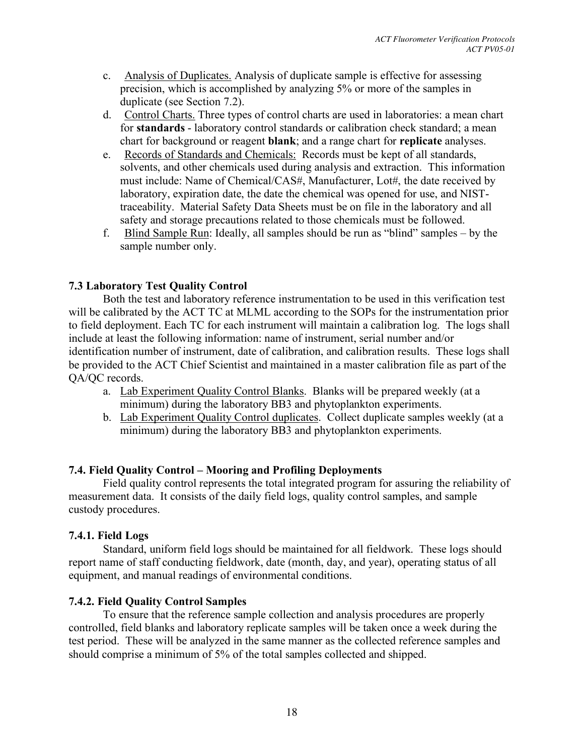- c. Analysis of Duplicates. Analysis of duplicate sample is effective for assessing precision, which is accomplished by analyzing 5% or more of the samples in duplicate (see Section 7.2).
- d. Control Charts. Three types of control charts are used in laboratories: a mean chart for **standards** - laboratory control standards or calibration check standard; a mean chart for background or reagent **blank**; and a range chart for **replicate** analyses.
- e. Records of Standards and Chemicals: Records must be kept of all standards, solvents, and other chemicals used during analysis and extraction. This information must include: Name of Chemical/CAS#, Manufacturer, Lot#, the date received by laboratory, expiration date, the date the chemical was opened for use, and NISTtraceability. Material Safety Data Sheets must be on file in the laboratory and all safety and storage precautions related to those chemicals must be followed.
- f. Blind Sample Run: Ideally, all samples should be run as "blind" samples by the sample number only.

## **7.3 Laboratory Test Quality Control**

Both the test and laboratory reference instrumentation to be used in this verification test will be calibrated by the ACT TC at MLML according to the SOPs for the instrumentation prior to field deployment. Each TC for each instrument will maintain a calibration log. The logs shall include at least the following information: name of instrument, serial number and/or identification number of instrument, date of calibration, and calibration results. These logs shall be provided to the ACT Chief Scientist and maintained in a master calibration file as part of the QA/QC records.

- a. Lab Experiment Quality Control Blanks. Blanks will be prepared weekly (at a minimum) during the laboratory BB3 and phytoplankton experiments.
- b. Lab Experiment Quality Control duplicates. Collect duplicate samples weekly (at a minimum) during the laboratory BB3 and phytoplankton experiments.

## **7.4. Field Quality Control – Mooring and Profiling Deployments**

Field quality control represents the total integrated program for assuring the reliability of measurement data. It consists of the daily field logs, quality control samples, and sample custody procedures.

## **7.4.1. Field Logs**

Standard, uniform field logs should be maintained for all fieldwork. These logs should report name of staff conducting fieldwork, date (month, day, and year), operating status of all equipment, and manual readings of environmental conditions.

## **7.4.2. Field Quality Control Samples**

To ensure that the reference sample collection and analysis procedures are properly controlled, field blanks and laboratory replicate samples will be taken once a week during the test period. These will be analyzed in the same manner as the collected reference samples and should comprise a minimum of 5% of the total samples collected and shipped.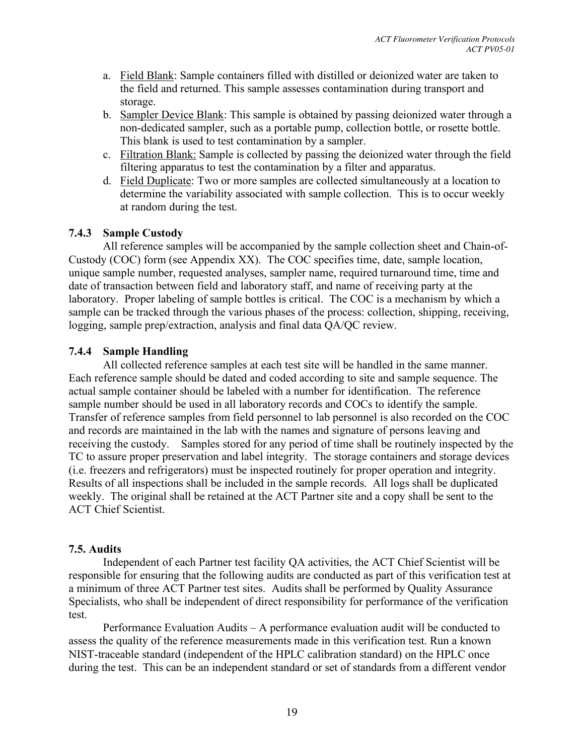- a. Field Blank: Sample containers filled with distilled or deionized water are taken to the field and returned. This sample assesses contamination during transport and storage.
- b. Sampler Device Blank: This sample is obtained by passing deionized water through a non-dedicated sampler, such as a portable pump, collection bottle, or rosette bottle. This blank is used to test contamination by a sampler.
- c. Filtration Blank: Sample is collected by passing the deionized water through the field filtering apparatus to test the contamination by a filter and apparatus.
- d. Field Duplicate: Two or more samples are collected simultaneously at a location to determine the variability associated with sample collection. This is to occur weekly at random during the test.

## **7.4.3 Sample Custody**

All reference samples will be accompanied by the sample collection sheet and Chain-of-Custody (COC) form (see Appendix XX). The COC specifies time, date, sample location, unique sample number, requested analyses, sampler name, required turnaround time, time and date of transaction between field and laboratory staff, and name of receiving party at the laboratory. Proper labeling of sample bottles is critical. The COC is a mechanism by which a sample can be tracked through the various phases of the process: collection, shipping, receiving, logging, sample prep/extraction, analysis and final data QA/QC review.

## **7.4.4 Sample Handling**

All collected reference samples at each test site will be handled in the same manner. Each reference sample should be dated and coded according to site and sample sequence. The actual sample container should be labeled with a number for identification. The reference sample number should be used in all laboratory records and COCs to identify the sample. Transfer of reference samples from field personnel to lab personnel is also recorded on the COC and records are maintained in the lab with the names and signature of persons leaving and receiving the custody. Samples stored for any period of time shall be routinely inspected by the TC to assure proper preservation and label integrity. The storage containers and storage devices (i.e. freezers and refrigerators) must be inspected routinely for proper operation and integrity. Results of all inspections shall be included in the sample records. All logs shall be duplicated weekly. The original shall be retained at the ACT Partner site and a copy shall be sent to the ACT Chief Scientist.

## **7.5. Audits**

Independent of each Partner test facility QA activities, the ACT Chief Scientist will be responsible for ensuring that the following audits are conducted as part of this verification test at a minimum of three ACT Partner test sites. Audits shall be performed by Quality Assurance Specialists, who shall be independent of direct responsibility for performance of the verification test.

Performance Evaluation Audits – A performance evaluation audit will be conducted to assess the quality of the reference measurements made in this verification test. Run a known NIST-traceable standard (independent of the HPLC calibration standard) on the HPLC once during the test. This can be an independent standard or set of standards from a different vendor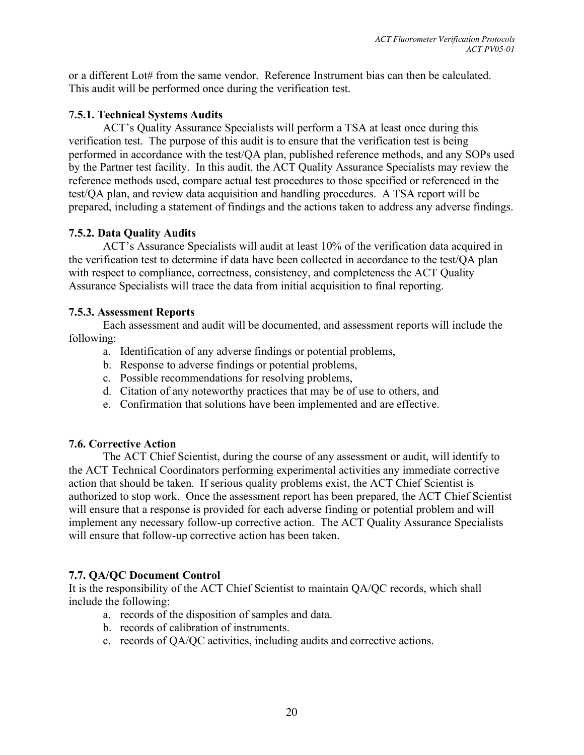or a different Lot# from the same vendor. Reference Instrument bias can then be calculated. This audit will be performed once during the verification test.

## **7.5.1. Technical Systems Audits**

ACT's Quality Assurance Specialists will perform a TSA at least once during this verification test. The purpose of this audit is to ensure that the verification test is being performed in accordance with the test/QA plan, published reference methods, and any SOPs used by the Partner test facility. In this audit, the ACT Quality Assurance Specialists may review the reference methods used, compare actual test procedures to those specified or referenced in the test/QA plan, and review data acquisition and handling procedures. A TSA report will be prepared, including a statement of findings and the actions taken to address any adverse findings.

## **7.5.2. Data Quality Audits**

ACT's Assurance Specialists will audit at least 10% of the verification data acquired in the verification test to determine if data have been collected in accordance to the test/QA plan with respect to compliance, correctness, consistency, and completeness the ACT Quality Assurance Specialists will trace the data from initial acquisition to final reporting.

## **7.5.3. Assessment Reports**

Each assessment and audit will be documented, and assessment reports will include the following:

- a. Identification of any adverse findings or potential problems,
- b. Response to adverse findings or potential problems,
- c. Possible recommendations for resolving problems,
- d. Citation of any noteworthy practices that may be of use to others, and
- e. Confirmation that solutions have been implemented and are effective.

## **7.6. Corrective Action**

The ACT Chief Scientist, during the course of any assessment or audit, will identify to the ACT Technical Coordinators performing experimental activities any immediate corrective action that should be taken. If serious quality problems exist, the ACT Chief Scientist is authorized to stop work. Once the assessment report has been prepared, the ACT Chief Scientist will ensure that a response is provided for each adverse finding or potential problem and will implement any necessary follow-up corrective action. The ACT Quality Assurance Specialists will ensure that follow-up corrective action has been taken.

## **7.7. QA/QC Document Control**

It is the responsibility of the ACT Chief Scientist to maintain QA/QC records, which shall include the following:

- a. records of the disposition of samples and data.
- b. records of calibration of instruments.
- c. records of QA/QC activities, including audits and corrective actions.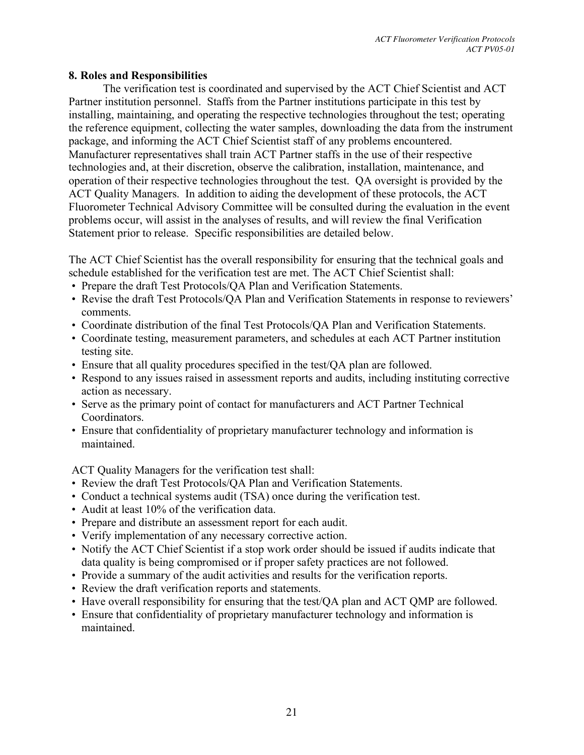#### **8. Roles and Responsibilities**

The verification test is coordinated and supervised by the ACT Chief Scientist and ACT Partner institution personnel. Staffs from the Partner institutions participate in this test by installing, maintaining, and operating the respective technologies throughout the test; operating the reference equipment, collecting the water samples, downloading the data from the instrument package, and informing the ACT Chief Scientist staff of any problems encountered. Manufacturer representatives shall train ACT Partner staffs in the use of their respective technologies and, at their discretion, observe the calibration, installation, maintenance, and operation of their respective technologies throughout the test. QA oversight is provided by the ACT Quality Managers. In addition to aiding the development of these protocols, the ACT Fluorometer Technical Advisory Committee will be consulted during the evaluation in the event problems occur, will assist in the analyses of results, and will review the final Verification Statement prior to release. Specific responsibilities are detailed below.

The ACT Chief Scientist has the overall responsibility for ensuring that the technical goals and schedule established for the verification test are met. The ACT Chief Scientist shall:

- Prepare the draft Test Protocols/QA Plan and Verification Statements.
- Revise the draft Test Protocols/QA Plan and Verification Statements in response to reviewers' comments.
- Coordinate distribution of the final Test Protocols/QA Plan and Verification Statements.
- Coordinate testing, measurement parameters, and schedules at each ACT Partner institution testing site.
- Ensure that all quality procedures specified in the test/QA plan are followed.
- Respond to any issues raised in assessment reports and audits, including instituting corrective action as necessary.
- Serve as the primary point of contact for manufacturers and ACT Partner Technical Coordinators.
- Ensure that confidentiality of proprietary manufacturer technology and information is maintained.

ACT Quality Managers for the verification test shall:

- Review the draft Test Protocols/QA Plan and Verification Statements.
- Conduct a technical systems audit (TSA) once during the verification test.
- Audit at least 10% of the verification data.
- Prepare and distribute an assessment report for each audit.
- Verify implementation of any necessary corrective action.
- Notify the ACT Chief Scientist if a stop work order should be issued if audits indicate that data quality is being compromised or if proper safety practices are not followed.
- Provide a summary of the audit activities and results for the verification reports.
- Review the draft verification reports and statements.
- Have overall responsibility for ensuring that the test/QA plan and ACT QMP are followed.
- Ensure that confidentiality of proprietary manufacturer technology and information is maintained.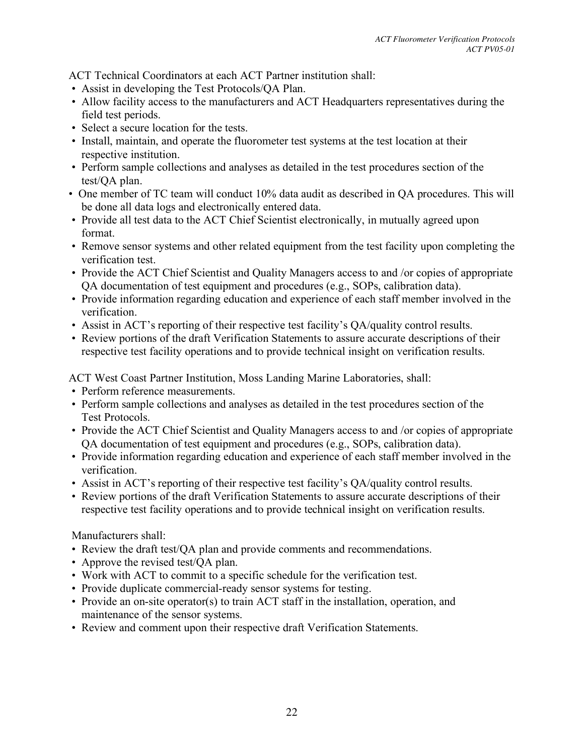ACT Technical Coordinators at each ACT Partner institution shall:

- Assist in developing the Test Protocols/QA Plan.
- Allow facility access to the manufacturers and ACT Headquarters representatives during the field test periods.
- Select a secure location for the tests.
- Install, maintain, and operate the fluorometer test systems at the test location at their respective institution.
- Perform sample collections and analyses as detailed in the test procedures section of the test/QA plan.
- One member of TC team will conduct 10% data audit as described in QA procedures. This will be done all data logs and electronically entered data.
- Provide all test data to the ACT Chief Scientist electronically, in mutually agreed upon format.
- Remove sensor systems and other related equipment from the test facility upon completing the verification test.
- Provide the ACT Chief Scientist and Quality Managers access to and /or copies of appropriate QA documentation of test equipment and procedures (e.g., SOPs, calibration data).
- Provide information regarding education and experience of each staff member involved in the verification.
- Assist in ACT's reporting of their respective test facility's QA/quality control results.
- Review portions of the draft Verification Statements to assure accurate descriptions of their respective test facility operations and to provide technical insight on verification results.

ACT West Coast Partner Institution, Moss Landing Marine Laboratories, shall:

- Perform reference measurements.
- Perform sample collections and analyses as detailed in the test procedures section of the Test Protocols.
- Provide the ACT Chief Scientist and Quality Managers access to and /or copies of appropriate QA documentation of test equipment and procedures (e.g., SOPs, calibration data).
- Provide information regarding education and experience of each staff member involved in the verification.
- Assist in ACT's reporting of their respective test facility's QA/quality control results.
- Review portions of the draft Verification Statements to assure accurate descriptions of their respective test facility operations and to provide technical insight on verification results.

Manufacturers shall:

- Review the draft test/QA plan and provide comments and recommendations.
- Approve the revised test/OA plan.
- Work with ACT to commit to a specific schedule for the verification test.
- Provide duplicate commercial-ready sensor systems for testing.
- Provide an on-site operator(s) to train ACT staff in the installation, operation, and maintenance of the sensor systems.
- Review and comment upon their respective draft Verification Statements.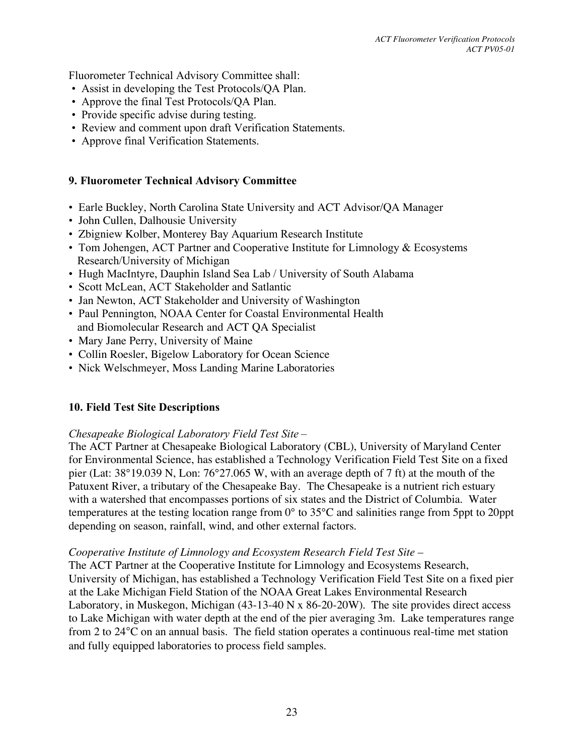Fluorometer Technical Advisory Committee shall:

- Assist in developing the Test Protocols/QA Plan.
- Approve the final Test Protocols/QA Plan.
- Provide specific advise during testing.
- Review and comment upon draft Verification Statements.
- Approve final Verification Statements.

#### **9. Fluorometer Technical Advisory Committee**

- Earle Buckley, North Carolina State University and ACT Advisor/QA Manager
- John Cullen, Dalhousie University
- Zbigniew Kolber, Monterey Bay Aquarium Research Institute
- Tom Johengen, ACT Partner and Cooperative Institute for Limnology & Ecosystems Research/University of Michigan
- Hugh MacIntyre, Dauphin Island Sea Lab / University of South Alabama
- Scott McLean, ACT Stakeholder and Satlantic
- Jan Newton, ACT Stakeholder and University of Washington
- Paul Pennington, NOAA Center for Coastal Environmental Health and Biomolecular Research and ACT QA Specialist
- Mary Jane Perry, University of Maine
- Collin Roesler, Bigelow Laboratory for Ocean Science
- Nick Welschmeyer, Moss Landing Marine Laboratories

#### **10. Field Test Site Descriptions**

#### *Chesapeake Biological Laboratory Field Test Site* –

The ACT Partner at Chesapeake Biological Laboratory (CBL), University of Maryland Center for Environmental Science, has established a Technology Verification Field Test Site on a fixed pier (Lat: 38°19.039 N, Lon: 76°27.065 W, with an average depth of 7 ft) at the mouth of the Patuxent River, a tributary of the Chesapeake Bay. The Chesapeake is a nutrient rich estuary with a watershed that encompasses portions of six states and the District of Columbia. Water temperatures at the testing location range from 0° to 35°C and salinities range from 5ppt to 20ppt depending on season, rainfall, wind, and other external factors.

#### *Cooperative Institute of Limnology and Ecosystem Research Field Test Site –*

The ACT Partner at the Cooperative Institute for Limnology and Ecosystems Research, University of Michigan, has established a Technology Verification Field Test Site on a fixed pier at the Lake Michigan Field Station of the NOAA Great Lakes Environmental Research Laboratory, in Muskegon, Michigan (43-13-40 N x 86-20-20W). The site provides direct access to Lake Michigan with water depth at the end of the pier averaging 3m. Lake temperatures range from 2 to 24°C on an annual basis. The field station operates a continuous real-time met station and fully equipped laboratories to process field samples.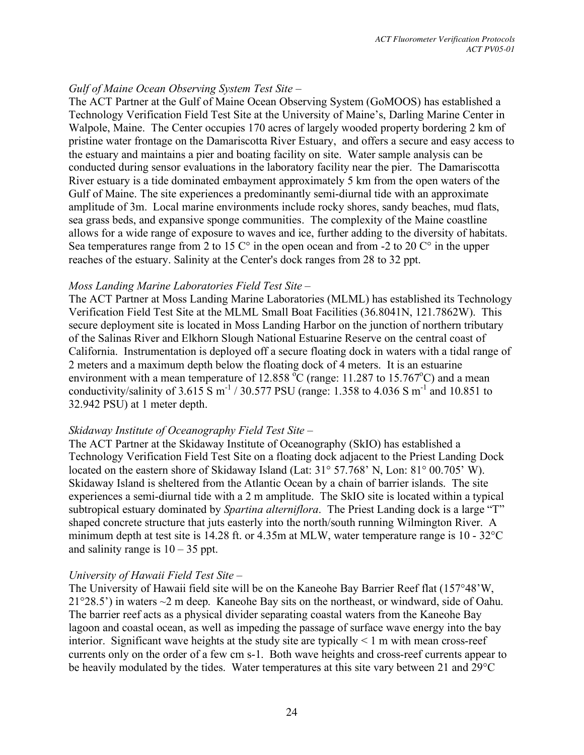## *Gulf of Maine Ocean Observing System Test Site –*

The ACT Partner at the Gulf of Maine Ocean Observing System (GoMOOS) has established a Technology Verification Field Test Site at the University of Maine's, Darling Marine Center in Walpole, Maine. The Center occupies 170 acres of largely wooded property bordering 2 km of pristine water frontage on the Damariscotta River Estuary, and offers a secure and easy access to the estuary and maintains a pier and boating facility on site. Water sample analysis can be conducted during sensor evaluations in the laboratory facility near the pier. The Damariscotta River estuary is a tide dominated embayment approximately 5 km from the open waters of the Gulf of Maine. The site experiences a predominantly semi-diurnal tide with an approximate amplitude of 3m. Local marine environments include rocky shores, sandy beaches, mud flats, sea grass beds, and expansive sponge communities. The complexity of the Maine coastline allows for a wide range of exposure to waves and ice, further adding to the diversity of habitats. Sea temperatures range from 2 to 15  $\degree$  in the open ocean and from -2 to 20  $\degree$  in the upper reaches of the estuary. Salinity at the Center's dock ranges from 28 to 32 ppt.

#### *Moss Landing Marine Laboratories Field Test Site –*

The ACT Partner at Moss Landing Marine Laboratories (MLML) has established its Technology Verification Field Test Site at the MLML Small Boat Facilities (36.8041N, 121.7862W). This secure deployment site is located in Moss Landing Harbor on the junction of northern tributary of the Salinas River and Elkhorn Slough National Estuarine Reserve on the central coast of California. Instrumentation is deployed off a secure floating dock in waters with a tidal range of 2 meters and a maximum depth below the floating dock of 4 meters. It is an estuarine environment with a mean temperature of 12.858  $\degree$ C (range: 11.287 to 15.767 $\degree$ C) and a mean conductivity/salinity of 3.615 S m<sup>-1</sup> / 30.577 PSU (range: 1.358 to 4.036 S m<sup>-1</sup> and 10.851 to 32.942 PSU) at 1 meter depth.

## *Skidaway Institute of Oceanography Field Test Site –*

The ACT Partner at the Skidaway Institute of Oceanography (SkIO) has established a Technology Verification Field Test Site on a floating dock adjacent to the Priest Landing Dock located on the eastern shore of Skidaway Island (Lat: 31° 57.768' N, Lon: 81° 00.705' W). Skidaway Island is sheltered from the Atlantic Ocean by a chain of barrier islands. The site experiences a semi-diurnal tide with a 2 m amplitude. The SkIO site is located within a typical subtropical estuary dominated by *Spartina alterniflora*. The Priest Landing dock is a large "T" shaped concrete structure that juts easterly into the north/south running Wilmington River. A minimum depth at test site is 14.28 ft. or 4.35m at MLW, water temperature range is 10 - 32°C and salinity range is  $10 - 35$  ppt.

## *University of Hawaii Field Test Site –*

The University of Hawaii field site will be on the Kaneohe Bay Barrier Reef flat (157°48'W,  $21^{\circ}28.5'$ ) in waters  $\sim$ 2 m deep. Kaneohe Bay sits on the northeast, or windward, side of Oahu. The barrier reef acts as a physical divider separating coastal waters from the Kaneohe Bay lagoon and coastal ocean, as well as impeding the passage of surface wave energy into the bay interior. Significant wave heights at the study site are typically  $\leq 1$  m with mean cross-reef currents only on the order of a few cm s-1. Both wave heights and cross-reef currents appear to be heavily modulated by the tides. Water temperatures at this site vary between 21 and 29°C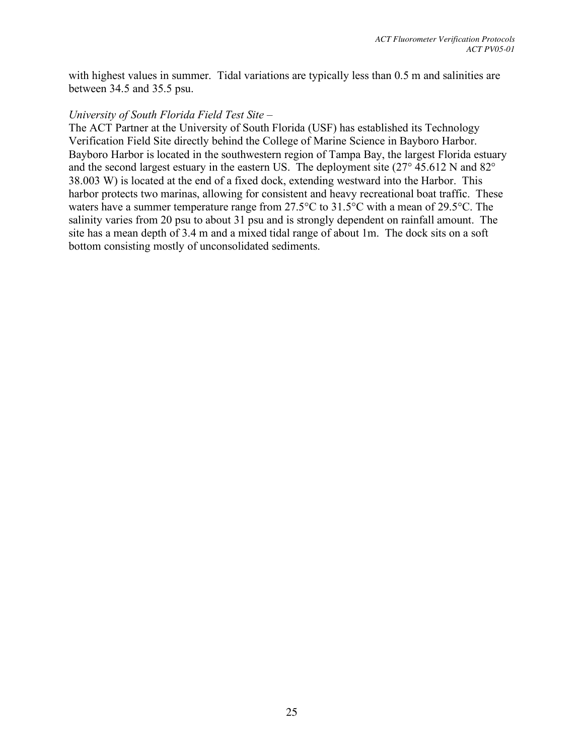with highest values in summer. Tidal variations are typically less than 0.5 m and salinities are between 34.5 and 35.5 psu.

#### *University of South Florida Field Test Site –*

The ACT Partner at the University of South Florida (USF) has established its Technology Verification Field Site directly behind the College of Marine Science in Bayboro Harbor. Bayboro Harbor is located in the southwestern region of Tampa Bay, the largest Florida estuary and the second largest estuary in the eastern US. The deployment site (27° 45.612 N and 82° 38.003 W) is located at the end of a fixed dock, extending westward into the Harbor. This harbor protects two marinas, allowing for consistent and heavy recreational boat traffic. These waters have a summer temperature range from 27.5°C to 31.5°C with a mean of 29.5°C. The salinity varies from 20 psu to about 31 psu and is strongly dependent on rainfall amount. The site has a mean depth of 3.4 m and a mixed tidal range of about 1m. The dock sits on a soft bottom consisting mostly of unconsolidated sediments.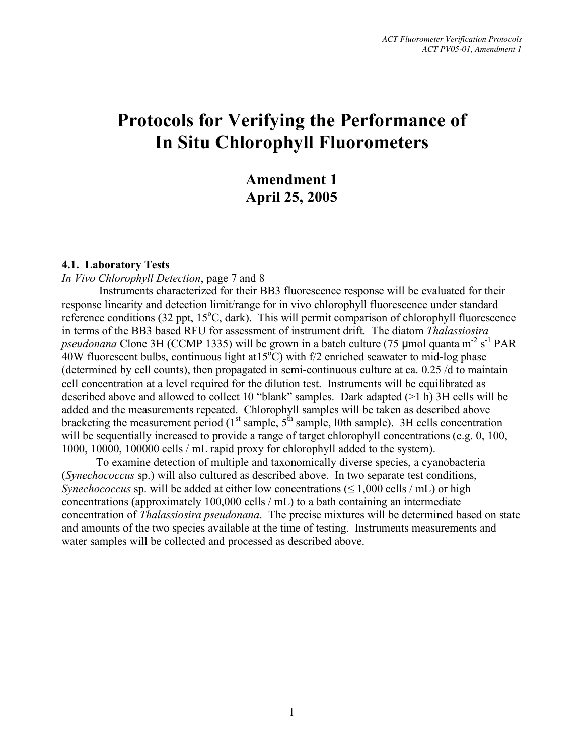## **Amendment 1 April 25, 2005**

#### **4.1. Laboratory Tests**

*In Vivo Chlorophyll Detection*, page 7 and 8

Instruments characterized for their BB3 fluorescence response will be evaluated for their response linearity and detection limit/range for in vivo chlorophyll fluorescence under standard reference conditions (32 ppt, 15°C, dark). This will permit comparison of chlorophyll fluorescence in terms of the BB3 based RFU for assessment of instrument drift. The diatom *Thalassiosira* pseudonana Clone 3H (CCMP 1335) will be grown in a batch culture (75 µmol quanta m<sup>-2</sup> s<sup>-1</sup> PAR  $40W$  fluorescent bulbs, continuous light at  $15^{\circ}$ C) with f/2 enriched seawater to mid-log phase (determined by cell counts), then propagated in semi-continuous culture at ca. 0.25 /d to maintain cell concentration at a level required for the dilution test. Instruments will be equilibrated as described above and allowed to collect 10 "blank" samples. Dark adapted (>1 h) 3H cells will be added and the measurements repeated. Chlorophyll samples will be taken as described above bracketing the measurement period ( $1<sup>st</sup>$  sample,  $5<sup>th</sup>$  sample, 10th sample). 3H cells concentration will be sequentially increased to provide a range of target chlorophyll concentrations (e.g. 0, 100, 1000, 10000, 100000 cells / mL rapid proxy for chlorophyll added to the system).

To examine detection of multiple and taxonomically diverse species, a cyanobacteria (*Synechococcus* sp.) will also cultured as described above. In two separate test conditions, *Synechococcus* sp. will be added at either low concentrations (< 1,000 cells / mL) or high concentrations (approximately 100,000 cells / mL) to a bath containing an intermediate concentration of *Thalassiosira pseudonana*. The precise mixtures will be determined based on state and amounts of the two species available at the time of testing. Instruments measurements and water samples will be collected and processed as described above.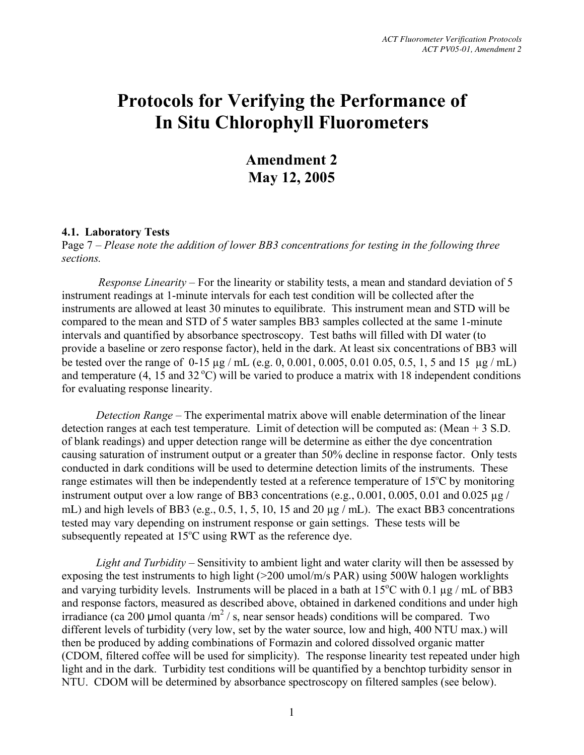**Amendment 2 May 12, 2005**

#### **4.1. Laboratory Tests**

Page 7 – *Please note the addition of lower BB3 concentrations for testing in the following three sections.*

*Response Linearity –* For the linearity or stability tests, a mean and standard deviation of 5 instrument readings at 1-minute intervals for each test condition will be collected after the instruments are allowed at least 30 minutes to equilibrate. This instrument mean and STD will be compared to the mean and STD of 5 water samples BB3 samples collected at the same 1-minute intervals and quantified by absorbance spectroscopy. Test baths will filled with DI water (to provide a baseline or zero response factor), held in the dark. At least six concentrations of BB3 will be tested over the range of 0-15 µg / mL (e.g. 0, 0.001, 0.005, 0.01 0.05, 0.5, 1, 5 and 15 µg / mL) and temperature  $(4, 15 \text{ and } 32 \degree \text{C})$  will be varied to produce a matrix with 18 independent conditions for evaluating response linearity.

*Detection Range* – The experimental matrix above will enable determination of the linear detection ranges at each test temperature. Limit of detection will be computed as: (Mean + 3 S.D. of blank readings) and upper detection range will be determine as either the dye concentration causing saturation of instrument output or a greater than 50% decline in response factor. Only tests conducted in dark conditions will be used to determine detection limits of the instruments. These range estimates will then be independently tested at a reference temperature of 15°C by monitoring instrument output over a low range of BB3 concentrations (e.g.,  $0.001$ ,  $0.005$ ,  $0.01$  and  $0.025 \mu g$  / mL) and high levels of BB3 (e.g., 0.5, 1, 5, 10, 15 and 20 µg / mL). The exact BB3 concentrations tested may vary depending on instrument response or gain settings. These tests will be subsequently repeated at  $15^{\circ}$ C using RWT as the reference dye.

*Light and Turbidity* – Sensitivity to ambient light and water clarity will then be assessed by exposing the test instruments to high light (>200 umol/m/s PAR) using 500W halogen worklights and varying turbidity levels. Instruments will be placed in a bath at  $15^{\circ}$ C with 0.1 µg / mL of BB3 and response factors, measured as described above, obtained in darkened conditions and under high irradiance (ca 200 µmol quanta /m<sup>2</sup> / s, near sensor heads) conditions will be compared. Two different levels of turbidity (very low, set by the water source, low and high, 400 NTU max.) will then be produced by adding combinations of Formazin and colored dissolved organic matter (CDOM, filtered coffee will be used for simplicity). The response linearity test repeated under high light and in the dark. Turbidity test conditions will be quantified by a benchtop turbidity sensor in NTU. CDOM will be determined by absorbance spectroscopy on filtered samples (see below).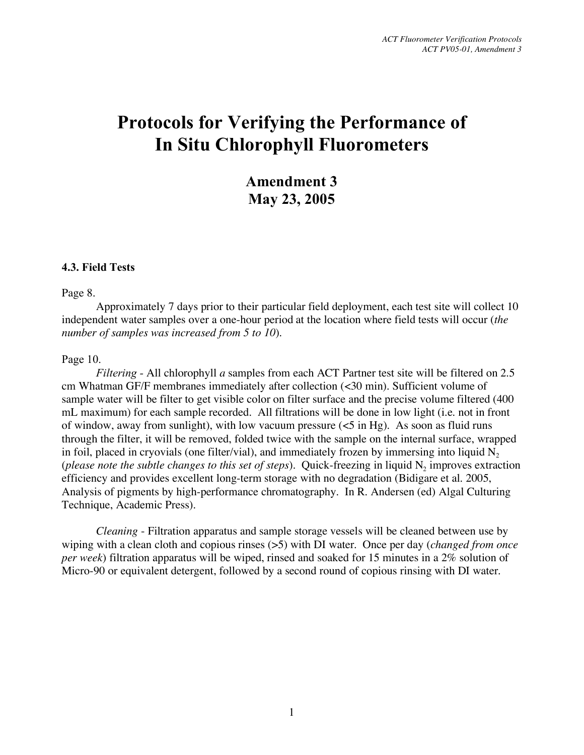**Amendment 3 May 23, 2005**

#### **4.3. Field Tests**

Page 8.

Approximately 7 days prior to their particular field deployment, each test site will collect 10 independent water samples over a one-hour period at the location where field tests will occur (*the number of samples was increased from 5 to 10*).

#### Page 10.

*Filtering -* All chlorophyll *a* samples from each ACT Partner test site will be filtered on 2.5 cm Whatman GF/F membranes immediately after collection (<30 min). Sufficient volume of sample water will be filter to get visible color on filter surface and the precise volume filtered (400 mL maximum) for each sample recorded. All filtrations will be done in low light (i.e. not in front of window, away from sunlight), with low vacuum pressure  $(<5$  in Hg). As soon as fluid runs through the filter, it will be removed, folded twice with the sample on the internal surface, wrapped in foil, placed in cryovials (one filter/vial), and immediately frozen by immersing into liquid  $N<sub>2</sub>$ (*please* note the *subtle changes* to this *set* of *steps*). Quick-freezing in liquid N<sub>2</sub> improves extraction efficiency and provides excellent long-term storage with no degradation (Bidigare et al. 2005, Analysis of pigments by high-performance chromatography. In R. Andersen (ed) Algal Culturing Technique, Academic Press).

*Cleaning* - Filtration apparatus and sample storage vessels will be cleaned between use by wiping with a clean cloth and copious rinses (>5) with DI water. Once per day (*changed from once per week*) filtration apparatus will be wiped, rinsed and soaked for 15 minutes in a 2% solution of Micro-90 or equivalent detergent, followed by a second round of copious rinsing with DI water.